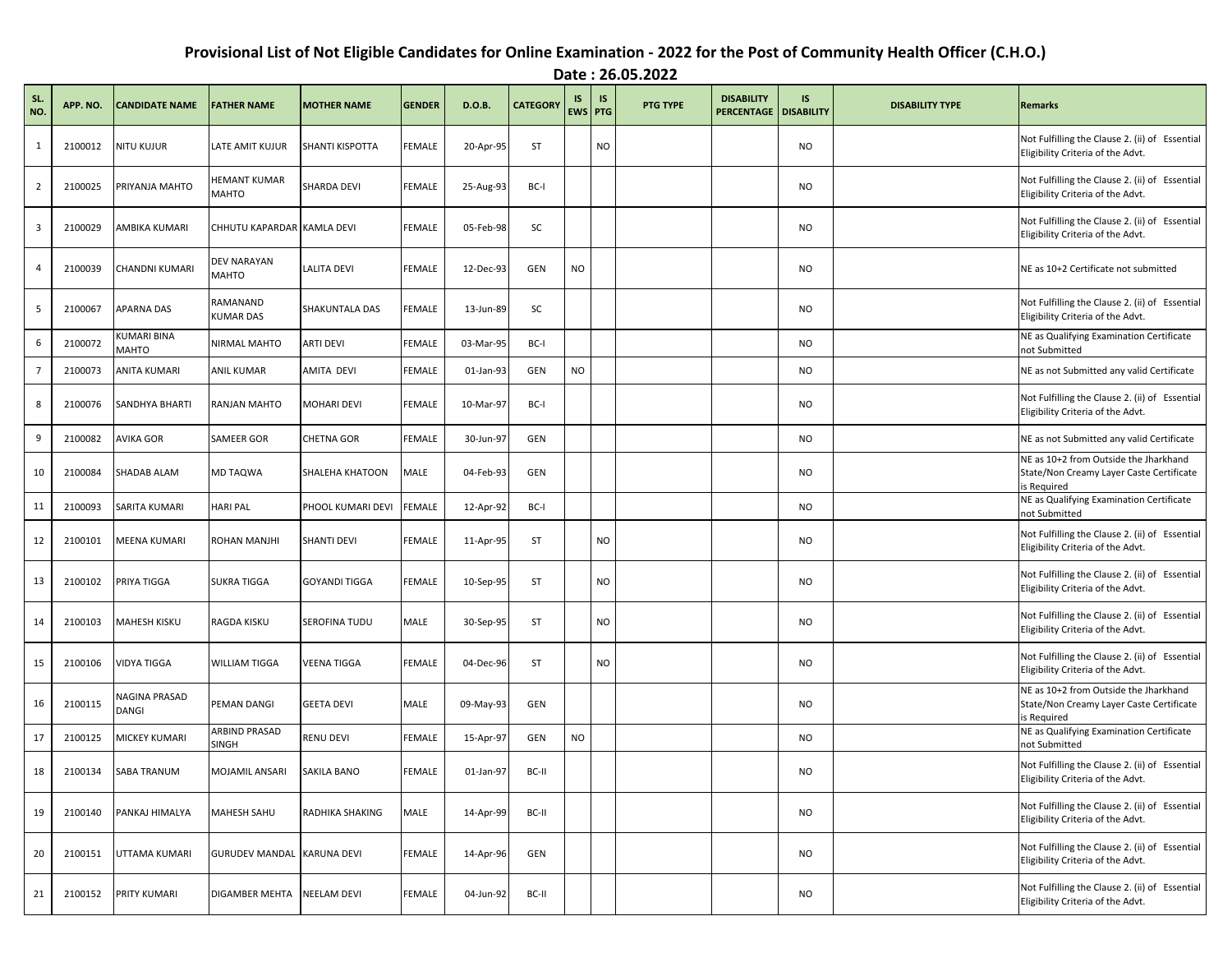## **Provisional List of Not Eligible Candidates for Online Examination - 2022 for the Post of Community Health Officer (C.H.O.)**

**Date : 26.05.2022**

| SL.<br>NO.     | APP. NO. | <b>CANDIDATE NAME</b>              | <b>FATHER NAME</b>            | <b>MOTHER NAME</b> | <b>GENDER</b> | D.O.B.    | <b>CATEGORY</b> | <b>IS</b> | <b>IS</b><br>EWS PTG | <b>PTG TYPE</b> | <b>DISABILITY</b><br><b>PERCENTAGE   DISABILITY</b> | <b>IS</b> | <b>DISABILITY TYPE</b> | Remarks                                                                                          |
|----------------|----------|------------------------------------|-------------------------------|--------------------|---------------|-----------|-----------------|-----------|----------------------|-----------------|-----------------------------------------------------|-----------|------------------------|--------------------------------------------------------------------------------------------------|
| $\mathbf{1}$   | 2100012  | <b>NITU KUJUR</b>                  | LATE AMIT KUJUR               | SHANTI KISPOTTA    | FEMALE        | 20-Apr-95 | ST              |           | <b>NO</b>            |                 |                                                     | <b>NO</b> |                        | Not Fulfilling the Clause 2. (ii) of Essential<br>Eligibility Criteria of the Advt.              |
| $\overline{2}$ | 2100025  | PRIYANJA MAHTO                     | HEMANT KUMAR<br>MAHTO         | SHARDA DEVI        | FEMALE        | 25-Aug-93 | BC-I            |           |                      |                 |                                                     | <b>NO</b> |                        | Not Fulfilling the Clause 2. (ii) of Essential<br>Eligibility Criteria of the Advt.              |
| 3              | 2100029  | AMBIKA KUMARI                      | CHHUTU KAPARDAR KAMLA DEVI    |                    | FEMALE        | 05-Feb-98 | SC              |           |                      |                 |                                                     | <b>NO</b> |                        | Not Fulfilling the Clause 2. (ii) of Essential<br>Eligibility Criteria of the Advt.              |
| 4              | 2100039  | <b>CHANDNI KUMARI</b>              | DEV NARAYAN<br><b>MAHTO</b>   | <b>LALITA DEVI</b> | FEMALE        | 12-Dec-93 | GEN             | <b>NO</b> |                      |                 |                                                     | <b>NO</b> |                        | NE as 10+2 Certificate not submitted                                                             |
| 5              | 2100067  | <b>APARNA DAS</b>                  | RAMANAND<br><b>KUMAR DAS</b>  | SHAKUNTALA DAS     | FEMALE        | 13-Jun-89 | SC              |           |                      |                 |                                                     | <b>NO</b> |                        | Not Fulfilling the Clause 2. (ii) of Essential<br>Eligibility Criteria of the Advt.              |
| 6              | 2100072  | <b>KUMARI BINA</b><br><b>MAHTO</b> | NIRMAL MAHTO                  | <b>ARTI DEVI</b>   | FEMALE        | 03-Mar-95 | BC-I            |           |                      |                 |                                                     | <b>NO</b> |                        | NE as Qualifying Examination Certificate<br>not Submitted                                        |
| $\overline{7}$ | 2100073  | <b>ANITA KUMARI</b>                | <b>ANIL KUMAR</b>             | AMITA DEVI         | FEMALE        | 01-Jan-93 | GEN             | <b>NO</b> |                      |                 |                                                     | <b>NO</b> |                        | NE as not Submitted any valid Certificate                                                        |
| 8              | 2100076  | SANDHYA BHARTI                     | <b>RANJAN MAHTO</b>           | MOHARI DEVI        | FEMALE        | 10-Mar-97 | BC-I            |           |                      |                 |                                                     | <b>NO</b> |                        | Not Fulfilling the Clause 2. (ii) of Essential<br>Eligibility Criteria of the Advt.              |
| 9              | 2100082  | <b>AVIKA GOR</b>                   | <b>SAMEER GOR</b>             | <b>CHETNA GOR</b>  | FEMALE        | 30-Jun-97 | GEN             |           |                      |                 |                                                     | <b>NO</b> |                        | NE as not Submitted any valid Certificate                                                        |
| 10             | 2100084  | SHADAB ALAM                        | MD TAQWA                      | SHALEHA KHATOON    | MALE          | 04-Feb-93 | GEN             |           |                      |                 |                                                     | <b>NO</b> |                        | NE as 10+2 from Outside the Jharkhand<br>State/Non Creamy Layer Caste Certificate<br>is Required |
| 11             | 2100093  | <b>SARITA KUMARI</b>               | <b>HARI PAL</b>               | PHOOL KUMARI DEVI  | FEMALE        | 12-Apr-92 | BC-I            |           |                      |                 |                                                     | <b>NO</b> |                        | NE as Qualifying Examination Certificate<br>not Submitted                                        |
| 12             | 2100101  | <b>MEENA KUMARI</b>                | <b>ROHAN MANJHI</b>           | SHANTI DEVI        | FEMALE        | 11-Apr-95 | ST              |           | <b>NO</b>            |                 |                                                     | <b>NO</b> |                        | Not Fulfilling the Clause 2. (ii) of Essential<br>Eligibility Criteria of the Advt.              |
| 13             | 2100102  | PRIYA TIGGA                        | <b>SUKRA TIGGA</b>            | GOYANDI TIGGA      | FEMALE        | 10-Sep-95 | ST              |           | <b>NO</b>            |                 |                                                     | <b>NO</b> |                        | Not Fulfilling the Clause 2. (ii) of Essential<br>Eligibility Criteria of the Advt.              |
| 14             | 2100103  | <b>MAHESH KISKU</b>                | RAGDA KISKU                   | SEROFINA TUDU      | MALE          | 30-Sep-95 | ST              |           | <b>NO</b>            |                 |                                                     | <b>NO</b> |                        | Not Fulfilling the Clause 2. (ii) of Essential<br>Eligibility Criteria of the Advt.              |
| 15             | 2100106  | <b>VIDYA TIGGA</b>                 | <b>WILLIAM TIGGA</b>          | VEENA TIGGA        | FEMALE        | 04-Dec-96 | <b>ST</b>       |           | <b>NO</b>            |                 |                                                     | <b>NO</b> |                        | Not Fulfilling the Clause 2. (ii) of Essential<br>Eligibility Criteria of the Advt.              |
| 16             | 2100115  | NAGINA PRASAD<br><b>DANGI</b>      | PEMAN DANGI                   | <b>GEETA DEVI</b>  | MALE          | 09-May-93 | GEN             |           |                      |                 |                                                     | <b>NO</b> |                        | NE as 10+2 from Outside the Jharkhand<br>State/Non Creamy Layer Caste Certificate<br>is Required |
| 17             | 2100125  | MICKEY KUMARI                      | ARBIND PRASAD<br><b>SINGH</b> | RENU DEVI          | FEMALE        | 15-Apr-97 | GEN             | <b>NO</b> |                      |                 |                                                     | <b>NO</b> |                        | NE as Qualifying Examination Certificate<br>not Submitted                                        |
| 18             | 2100134  | <b>SABA TRANUM</b>                 | <b>MOJAMIL ANSARI</b>         | SAKILA BANO        | FEMALE        | 01-Jan-97 | BC-II           |           |                      |                 |                                                     | <b>NO</b> |                        | Not Fulfilling the Clause 2. (ii) of Essential<br>Eligibility Criteria of the Advt.              |
| 19             | 2100140  | PANKAJ HIMALYA                     | <b>MAHESH SAHU</b>            | RADHIKA SHAKING    | MALE          | 14-Apr-99 | BC-II           |           |                      |                 |                                                     | <b>NO</b> |                        | Not Fulfilling the Clause 2. (ii) of Essential<br>Eligibility Criteria of the Advt.              |
| 20             | 2100151  | UTTAMA KUMARI                      | GURUDEV MANDAL KARUNA DEVI    |                    | FEMALE        | 14-Apr-96 | GEN             |           |                      |                 |                                                     | <b>NO</b> |                        | Not Fulfilling the Clause 2. (ii) of Essential<br>Eligibility Criteria of the Advt.              |
| 21             | 2100152  | PRITY KUMARI                       | <b>DIGAMBER MEHTA</b>         | NEELAM DEVI        | FEMALE        | 04-Jun-92 | BC-II           |           |                      |                 |                                                     | <b>NO</b> |                        | Not Fulfilling the Clause 2. (ii) of Essential<br>Eligibility Criteria of the Advt.              |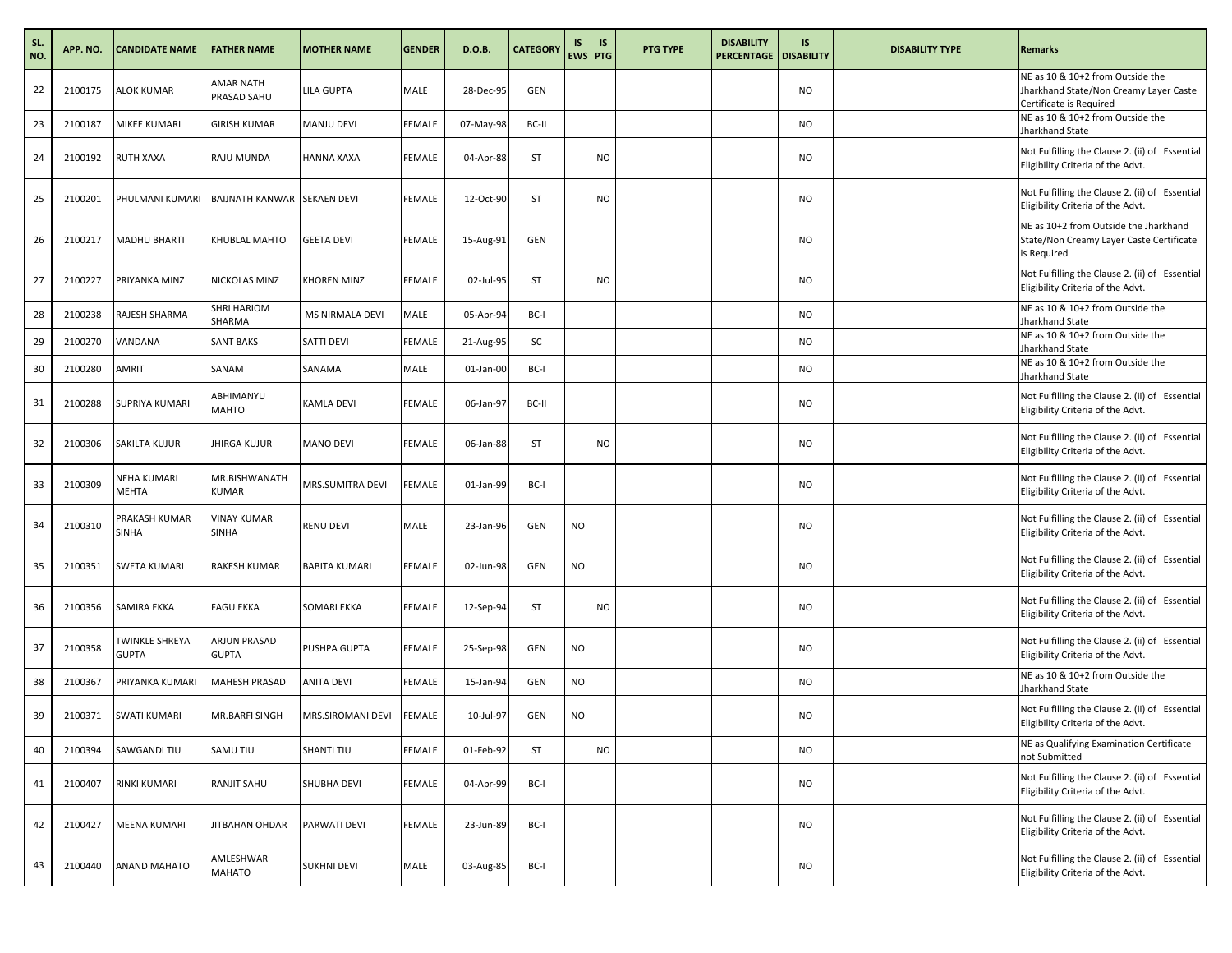| SL.<br>NO. | APP. NO. | <b>CANDIDATE NAME</b>          | <b>FATHER NAME</b>                 | <b>MOTHER NAME</b>   | <b>GENDER</b> | D.O.B.    | <b>CATEGORY</b> | IS        | <b>IS</b><br>EWS PTG | <b>PTG TYPE</b> | <b>DISABILITY</b><br>PERCENTAGE   DISABILITY | IS        | <b>DISABILITY TYPE</b> | <b>Remarks</b>                                                                                        |
|------------|----------|--------------------------------|------------------------------------|----------------------|---------------|-----------|-----------------|-----------|----------------------|-----------------|----------------------------------------------|-----------|------------------------|-------------------------------------------------------------------------------------------------------|
| 22         | 2100175  | ALOK KUMAR                     | AMAR NATH<br>PRASAD SAHU           | LILA GUPTA           | MALE          | 28-Dec-95 | <b>GEN</b>      |           |                      |                 |                                              | <b>NO</b> |                        | NE as 10 & 10+2 from Outside the<br>Jharkhand State/Non Creamy Layer Caste<br>Certificate is Required |
| 23         | 2100187  | MIKEE KUMARI                   | GIRISH KUMAR                       | MANJU DEVI           | FEMALE        | 07-May-98 | BC-II           |           |                      |                 |                                              | <b>NO</b> |                        | NE as 10 & 10+2 from Outside the<br>Jharkhand State                                                   |
| 24         | 2100192  | RUTH XAXA                      | RAJU MUNDA                         | HANNA XAXA           | FEMALE        | 04-Apr-88 | <b>ST</b>       |           | NO                   |                 |                                              | <b>NO</b> |                        | Not Fulfilling the Clause 2. (ii) of Essential<br>Eligibility Criteria of the Advt.                   |
| 25         | 2100201  | PHULMANI KUMARI                | BAIJNATH KANWAR SEKAEN DEVI        |                      | FEMALE        | 12-Oct-90 | ST              |           | NO.                  |                 |                                              | <b>NO</b> |                        | Not Fulfilling the Clause 2. (ii) of Essential<br>Eligibility Criteria of the Advt.                   |
| 26         | 2100217  | MADHU BHARTI                   | KHUBLAL MAHTO                      | <b>GEETA DEVI</b>    | <b>FEMALE</b> | 15-Aug-91 | <b>GEN</b>      |           |                      |                 |                                              | <b>NO</b> |                        | NE as 10+2 from Outside the Jharkhand<br>State/Non Creamy Layer Caste Certificate<br>is Required      |
| 27         | 2100227  | PRIYANKA MINZ                  | NICKOLAS MINZ                      | <b>KHOREN MINZ</b>   | FEMALE        | 02-Jul-95 | ST              |           | NO                   |                 |                                              | <b>NO</b> |                        | Not Fulfilling the Clause 2. (ii) of Essential<br>Eligibility Criteria of the Advt.                   |
| 28         | 2100238  | RAJESH SHARMA                  | SHRI HARIOM<br>SHARMA              | MS NIRMALA DEVI      | MALE          | 05-Apr-94 | BC-I            |           |                      |                 |                                              | <b>NO</b> |                        | NE as 10 & 10+2 from Outside the<br>Jharkhand State                                                   |
| 29         | 2100270  | VANDANA                        | <b>SANT BAKS</b>                   | SATTI DEVI           | <b>FEMALE</b> | 21-Aug-95 | SC              |           |                      |                 |                                              | <b>NO</b> |                        | NE as 10 & 10+2 from Outside the<br>Jharkhand State                                                   |
| 30         | 2100280  | AMRIT                          | SANAM                              | SANAMA               | MALE          | 01-Jan-00 | BC-I            |           |                      |                 |                                              | <b>NO</b> |                        | NE as 10 & 10+2 from Outside the<br>Jharkhand State                                                   |
| 31         | 2100288  | SUPRIYA KUMARI                 | ABHIMANYU<br><b>MAHTO</b>          | <b>KAMLA DEVI</b>    | FEMALE        | 06-Jan-97 | BC-II           |           |                      |                 |                                              | <b>NO</b> |                        | Not Fulfilling the Clause 2. (ii) of Essential<br>Eligibility Criteria of the Advt.                   |
| 32         | 2100306  | SAKILTA KUJUR                  | JHIRGA KUJUR                       | <b>MANO DEVI</b>     | <b>FEMALE</b> | 06-Jan-88 | ST              |           | NO                   |                 |                                              | <b>NO</b> |                        | Not Fulfilling the Clause 2. (ii) of Essential<br>Eligibility Criteria of the Advt.                   |
| 33         | 2100309  | NEHA KUMARI<br>MEHTA           | MR.BISHWANATH<br><b>KUMAR</b>      | MRS.SUMITRA DEVI     | FEMALE        | 01-Jan-99 | BC-I            |           |                      |                 |                                              | <b>NO</b> |                        | Not Fulfilling the Clause 2. (ii) of Essential<br>Eligibility Criteria of the Advt.                   |
| 34         | 2100310  | PRAKASH KUMAR<br>SINHA         | <b>VINAY KUMAR</b><br><b>SINHA</b> | <b>RENU DEVI</b>     | MALE          | 23-Jan-96 | GEN             | <b>NO</b> |                      |                 |                                              | <b>NO</b> |                        | Not Fulfilling the Clause 2. (ii) of Essential<br>Eligibility Criteria of the Advt.                   |
| 35         | 2100351  | SWETA KUMARI                   | RAKESH KUMAR                       | <b>BABITA KUMARI</b> | FEMALE        | 02-Jun-98 | GEN             | <b>NO</b> |                      |                 |                                              | <b>NO</b> |                        | Not Fulfilling the Clause 2. (ii) of Essential<br>Eligibility Criteria of the Advt.                   |
| 36         | 2100356  | SAMIRA EKKA                    | <b>FAGU EKKA</b>                   | SOMARI EKKA          | FEMALE        | 12-Sep-94 | ST              |           | NO                   |                 |                                              | <b>NO</b> |                        | Not Fulfilling the Clause 2. (ii) of Essential<br>Eligibility Criteria of the Advt.                   |
| 37         | 2100358  | TWINKLE SHREYA<br><b>GUPTA</b> | ARJUN PRASAD<br><b>GUPTA</b>       | PUSHPA GUPTA         | FEMALE        | 25-Sep-98 | <b>GEN</b>      | <b>NO</b> |                      |                 |                                              | <b>NO</b> |                        | Not Fulfilling the Clause 2. (ii) of Essential<br>Eligibility Criteria of the Advt.                   |
| 38         | 2100367  | PRIYANKA KUMARI                | MAHESH PRASAD                      | ANITA DEVI           | <b>FEMALE</b> | 15-Jan-94 | GEN             | <b>NO</b> |                      |                 |                                              | <b>NO</b> |                        | NE as 10 & 10+2 from Outside the<br>Jharkhand State                                                   |
| 39         | 2100371  | <b>SWATI KUMARI</b>            | MR.BARFI SINGH                     | MRS.SIROMANI DEVI    | FEMALE        | 10-Jul-97 | <b>GEN</b>      | <b>NO</b> |                      |                 |                                              | <b>NO</b> |                        | Not Fulfilling the Clause 2. (ii) of Essential<br>Eligibility Criteria of the Advt.                   |
| 40         | 2100394  | SAWGANDI TIU                   | SAMU TIU                           | SHANTI TIU           | FEMALE        | 01-Feb-92 | ST              |           | NO                   |                 |                                              | <b>NO</b> |                        | NE as Qualifying Examination Certificate<br>not Submitted                                             |
| 41         | 2100407  | RINKI KUMARI                   | RANJIT SAHU                        | SHUBHA DEVI          | FEMALE        | 04-Apr-99 | BC-I            |           |                      |                 |                                              | <b>NO</b> |                        | Not Fulfilling the Clause 2. (ii) of Essential<br>Eligibility Criteria of the Advt.                   |
| 42         | 2100427  | MEENA KUMARI                   | JITBAHAN OHDAR                     | PARWATI DEVI         | FEMALE        | 23-Jun-89 | BC-I            |           |                      |                 |                                              | <b>NO</b> |                        | Not Fulfilling the Clause 2. (ii) of Essential<br>Eligibility Criteria of the Advt.                   |
| 43         | 2100440  | ANAND MAHATO                   | AMLESHWAR<br>MAHATO                | <b>SUKHNI DEVI</b>   | MALE          | 03-Aug-85 | BC-I            |           |                      |                 |                                              | <b>NO</b> |                        | Not Fulfilling the Clause 2. (ii) of Essential<br>Eligibility Criteria of the Advt.                   |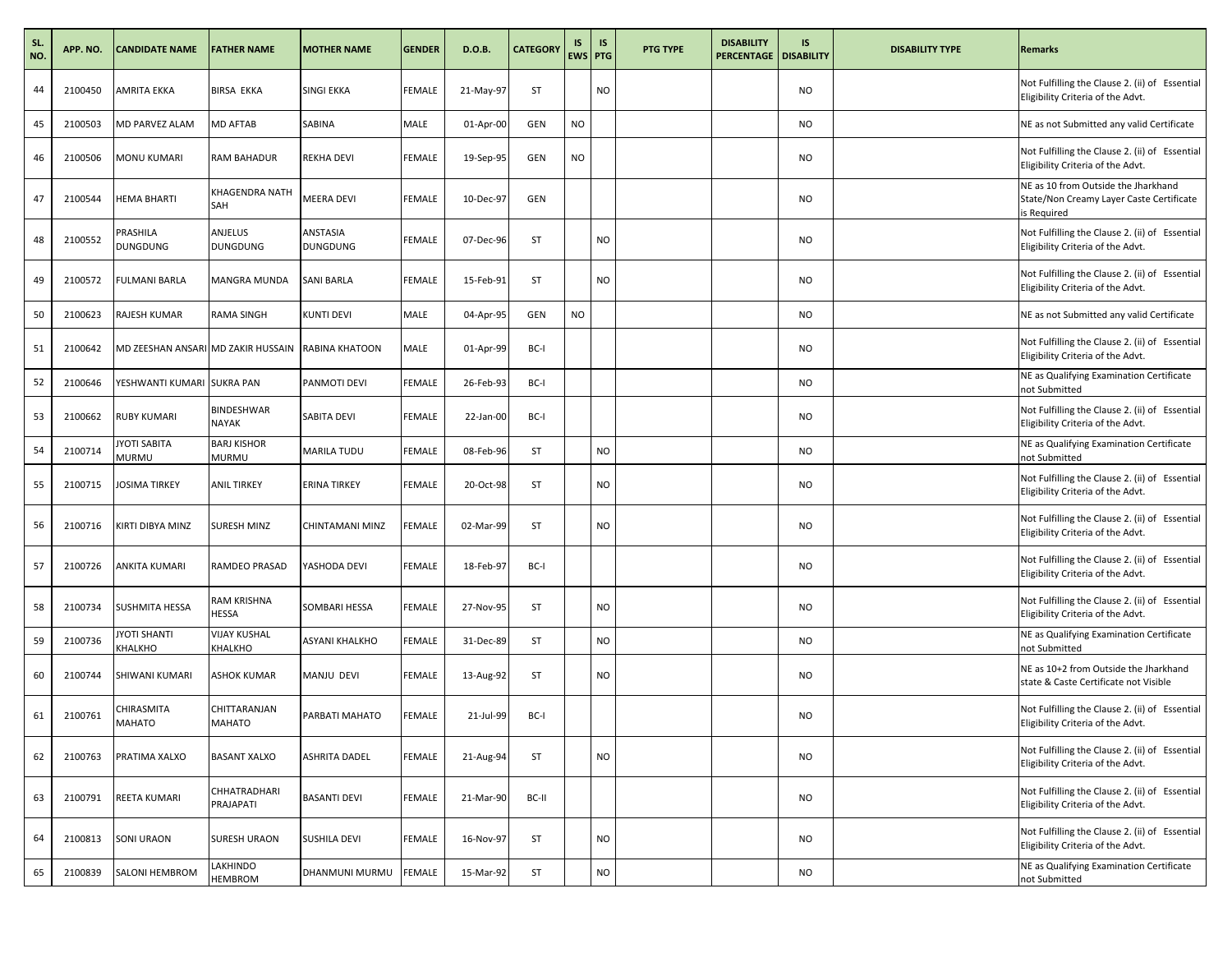| SL.<br>NO. | APP. NO. | <b>CANDIDATE NAME</b>          | <b>FATHER NAME</b>                                 | <b>MOTHER NAME</b>          | <b>GENDER</b> | D.O.B.    | <b>CATEGORY</b> | IS<br><b>EWS PTG</b> | <b>IS</b> | <b>PTG TYPE</b> | <b>DISABILITY</b><br><b>PERCENTAGE   DISABILITY</b> | IS        | <b>DISABILITY TYPE</b> | <b>Remarks</b>                                                                                 |
|------------|----------|--------------------------------|----------------------------------------------------|-----------------------------|---------------|-----------|-----------------|----------------------|-----------|-----------------|-----------------------------------------------------|-----------|------------------------|------------------------------------------------------------------------------------------------|
| 44         | 2100450  | AMRITA EKKA                    | <b>BIRSA EKKA</b>                                  | SINGI EKKA                  | <b>FEMALE</b> | 21-May-97 | ST              |                      | NO        |                 |                                                     | <b>NO</b> |                        | Not Fulfilling the Clause 2. (ii) of Essential<br>Eligibility Criteria of the Advt.            |
| 45         | 2100503  | MD PARVEZ ALAM                 | MD AFTAB                                           | SABINA                      | MALE          | 01-Apr-00 | GEN             | <b>NO</b>            |           |                 |                                                     | <b>NO</b> |                        | NE as not Submitted any valid Certificate                                                      |
| 46         | 2100506  | MONU KUMARI                    | RAM BAHADUR                                        | <b>REKHA DEVI</b>           | <b>FEMALE</b> | 19-Sep-95 | GEN             | <b>NO</b>            |           |                 |                                                     | <b>NO</b> |                        | Not Fulfilling the Clause 2. (ii) of Essential<br>Eligibility Criteria of the Advt.            |
| 47         | 2100544  | HEMA BHARTI                    | KHAGENDRA NATH<br>SAH                              | <b>MEERA DEVI</b>           | FEMALE        | 10-Dec-97 | <b>GEN</b>      |                      |           |                 |                                                     | <b>NO</b> |                        | NE as 10 from Outside the Jharkhand<br>State/Non Creamy Layer Caste Certificate<br>is Required |
| 48         | 2100552  | PRASHILA<br>DUNGDUNG           | ANJELUS<br>DUNGDUNG                                | ANSTASIA<br><b>DUNGDUNG</b> | <b>FEMALE</b> | 07-Dec-96 | ST              |                      | <b>NO</b> |                 |                                                     | <b>NO</b> |                        | Not Fulfilling the Clause 2. (ii) of Essential<br>Eligibility Criteria of the Advt.            |
| 49         | 2100572  | FULMANI BARLA                  | MANGRA MUNDA                                       | <b>SANI BARLA</b>           | FEMALE        | 15-Feb-91 | ST              |                      | NO        |                 |                                                     | <b>NO</b> |                        | Not Fulfilling the Clause 2. (ii) of Essential<br>Eligibility Criteria of the Advt.            |
| 50         | 2100623  | RAJESH KUMAR                   | RAMA SINGH                                         | KUNTI DEVI                  | MALE          | 04-Apr-95 | GEN             | <b>NO</b>            |           |                 |                                                     | <b>NO</b> |                        | NE as not Submitted any valid Certificate                                                      |
| 51         | 2100642  |                                | MD ZEESHAN ANSARI MD ZAKIR HUSSAIN KRABINA KHATOON |                             | MALE          | 01-Apr-99 | BC-I            |                      |           |                 |                                                     | <b>NO</b> |                        | Not Fulfilling the Clause 2. (ii) of Essential<br>Eligibility Criteria of the Advt.            |
| 52         | 2100646  | YESHWANTI KUMARI               | <b>SUKRA PAN</b>                                   | PANMOTI DEVI                | <b>FEMALE</b> | 26-Feb-93 | BC-I            |                      |           |                 |                                                     | <b>NO</b> |                        | NE as Qualifying Examination Certificate<br>not Submitted                                      |
| 53         | 2100662  | RUBY KUMARI                    | <b>BINDESHWAR</b><br>NAYAK                         | SABITA DEVI                 | <b>FEMALE</b> | 22-Jan-00 | BC-I            |                      |           |                 |                                                     | <b>NO</b> |                        | Not Fulfilling the Clause 2. (ii) of Essential<br>Eligibility Criteria of the Advt.            |
| 54         | 2100714  | JYOTI SABITA<br>MURMU          | <b>BARJ KISHOR</b><br><b>MURMU</b>                 | MARILA TUDU                 | FEMALE        | 08-Feb-96 | ST              |                      | NO        |                 |                                                     | <b>NO</b> |                        | NE as Qualifying Examination Certificate<br>not Submitted                                      |
| 55         | 2100715  | JOSIMA TIRKEY                  | <b>ANIL TIRKEY</b>                                 | <b>ERINA TIRKEY</b>         | <b>FEMALE</b> | 20-Oct-98 | ST              |                      | NO        |                 |                                                     | <b>NO</b> |                        | Not Fulfilling the Clause 2. (ii) of Essential<br>Eligibility Criteria of the Advt.            |
| 56         | 2100716  | KIRTI DIBYA MINZ               | SURESH MINZ                                        | CHINTAMANI MINZ             | FEMALE        | 02-Mar-99 | ST              |                      | <b>NO</b> |                 |                                                     | <b>NO</b> |                        | Not Fulfilling the Clause 2. (ii) of Essential<br>Eligibility Criteria of the Advt.            |
| 57         | 2100726  | ANKITA KUMARI                  | RAMDEO PRASAD                                      | YASHODA DEVI                | <b>FEMALE</b> | 18-Feb-97 | BC-I            |                      |           |                 |                                                     | <b>NO</b> |                        | Not Fulfilling the Clause 2. (ii) of Essential<br>Eligibility Criteria of the Advt.            |
| 58         | 2100734  | SUSHMITA HESSA                 | RAM KRISHNA<br><b>HESSA</b>                        | SOMBARI HESSA               | FEMALE        | 27-Nov-95 | ST              |                      | NO.       |                 |                                                     | <b>NO</b> |                        | Not Fulfilling the Clause 2. (ii) of Essential<br>Eligibility Criteria of the Advt.            |
| 59         | 2100736  | <b>IYOTI SHANTI</b><br>KHALKHO | <b>VIJAY KUSHAL</b><br>KHALKHO                     | ASYANI KHALKHO              | FEMALE        | 31-Dec-89 | ST              |                      | NO        |                 |                                                     | <b>NO</b> |                        | NE as Qualifying Examination Certificate<br>not Submitted                                      |
| 60         | 2100744  | SHIWANI KUMARI                 | <b>ASHOK KUMAR</b>                                 | MANJU DEVI                  | FEMALE        | 13-Aug-92 | ST              |                      | <b>NO</b> |                 |                                                     | <b>NO</b> |                        | NE as 10+2 from Outside the Jharkhand<br>state & Caste Certificate not Visible                 |
| 61         | 2100761  | CHIRASMITA<br>MAHATO           | CHITTARANJAN<br><b>MAHATO</b>                      | PARBATI MAHATO              | FEMALE        | 21-Jul-99 | BC-I            |                      |           |                 |                                                     | <b>NO</b> |                        | Not Fulfilling the Clause 2. (ii) of Essential<br>Eligibility Criteria of the Advt.            |
| 62         | 2100763  | PRATIMA XALXO                  | <b>BASANT XALXO</b>                                | ASHRITA DADEL               | FEMALE        | 21-Aug-94 | ST              |                      | NO        |                 |                                                     | <b>NO</b> |                        | Not Fulfilling the Clause 2. (ii) of Essential<br>Eligibility Criteria of the Advt.            |
| 63         | 2100791  | REETA KUMARI                   | CHHATRADHARI<br>PRAJAPATI                          | <b>BASANTI DEVI</b>         | FEMALE        | 21-Mar-90 | BC-II           |                      |           |                 |                                                     | <b>NO</b> |                        | Not Fulfilling the Clause 2. (ii) of Essential<br>Eligibility Criteria of the Advt.            |
| 64         | 2100813  | SONI URAON                     | SURESH URAON                                       | SUSHILA DEVI                | FEMALE        | 16-Nov-97 | ST              |                      | <b>NO</b> |                 |                                                     | <b>NO</b> |                        | Not Fulfilling the Clause 2. (ii) of Essential<br>Eligibility Criteria of the Advt.            |
| 65         | 2100839  | SALONI HEMBROM                 | LAKHINDO<br><b>HEMBROM</b>                         | DHANMUNI MURMU              | FEMALE        | 15-Mar-92 | ST              |                      | $\rm NO$  |                 |                                                     | <b>NO</b> |                        | NE as Qualifying Examination Certificate<br>not Submitted                                      |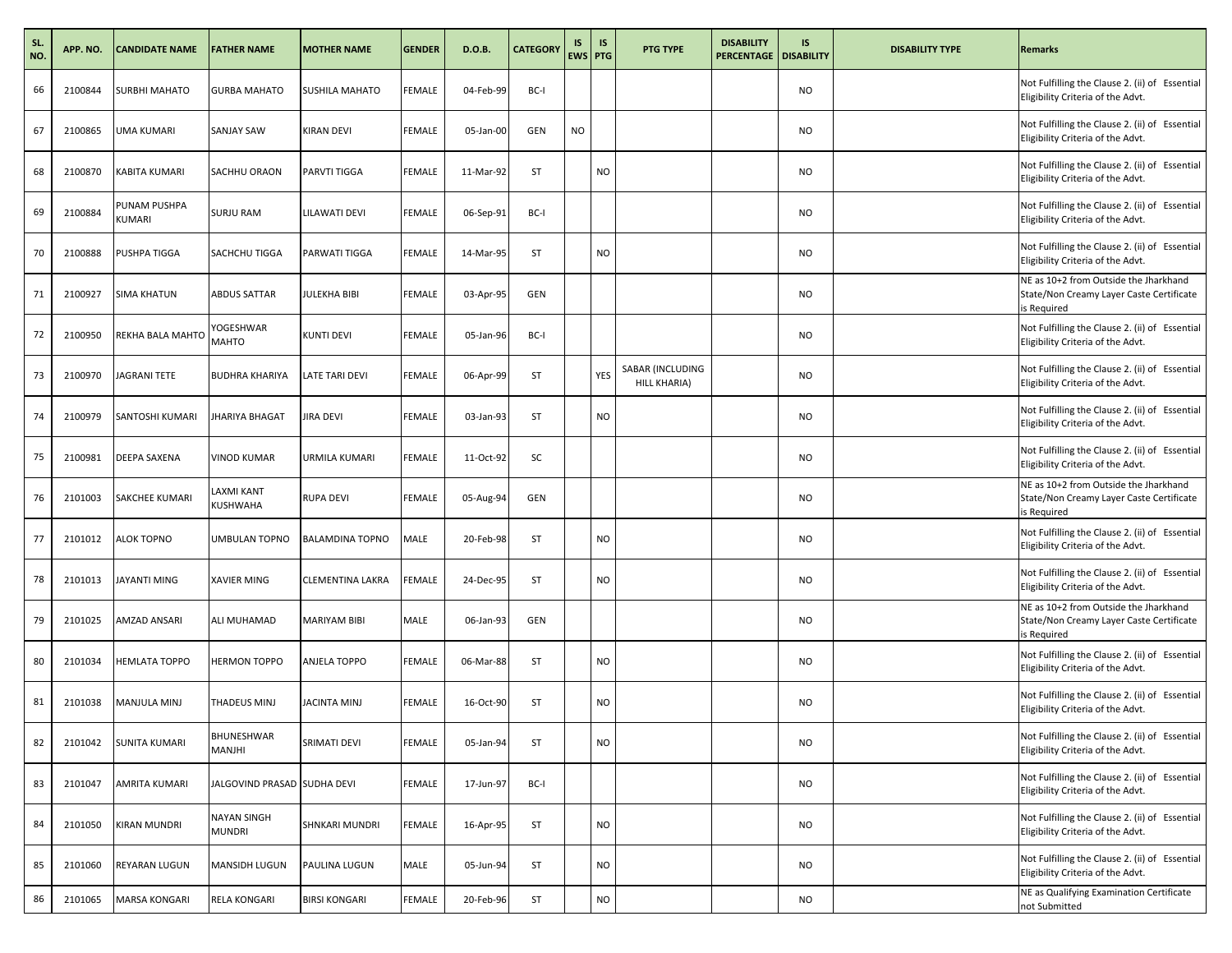| SL.<br>NO. | APP. NO. | <b>CANDIDATE NAME</b>  | <b>FATHER NAME</b>           | <b>MOTHER NAME</b>      | <b>GENDER</b> | D.O.B.    | <b>CATEGORY</b> | IS<br><b>EWS PTG</b> | <b>IS</b> | <b>PTG TYPE</b>                  | <b>DISABILITY</b><br><b>PERCENTAGE   DISABILITY</b> | IS        | <b>DISABILITY TYPE</b> | <b>Remarks</b>                                                                                   |
|------------|----------|------------------------|------------------------------|-------------------------|---------------|-----------|-----------------|----------------------|-----------|----------------------------------|-----------------------------------------------------|-----------|------------------------|--------------------------------------------------------------------------------------------------|
| 66         | 2100844  | <b>SURBHI MAHATO</b>   | <b>GURBA MAHATO</b>          | SUSHILA MAHATO          | FEMALE        | 04-Feb-99 | BC-I            |                      |           |                                  |                                                     | <b>NO</b> |                        | Not Fulfilling the Clause 2. (ii) of Essential<br>Eligibility Criteria of the Advt.              |
| 67         | 2100865  | <b>UMA KUMARI</b>      | SANJAY SAW                   | <b>KIRAN DEVI</b>       | <b>FEMALE</b> | 05-Jan-00 | <b>GEN</b>      | <b>NO</b>            |           |                                  |                                                     | <b>NO</b> |                        | Not Fulfilling the Clause 2. (ii) of Essential<br>Eligibility Criteria of the Advt.              |
| 68         | 2100870  | <b>KABITA KUMARI</b>   | SACHHU ORAON                 | <b>PARVTI TIGGA</b>     | FEMALE        | 11-Mar-92 | ST              |                      | NO        |                                  |                                                     | <b>NO</b> |                        | Not Fulfilling the Clause 2. (ii) of Essential<br>Eligibility Criteria of the Advt.              |
| 69         | 2100884  | PUNAM PUSHPA<br>KUMARI | SURJU RAM                    | <b>LILAWATI DEVI</b>    | FEMALE        | 06-Sep-91 | BC-I            |                      |           |                                  |                                                     | <b>NO</b> |                        | Not Fulfilling the Clause 2. (ii) of Essential<br>Eligibility Criteria of the Advt.              |
| 70         | 2100888  | <b>PUSHPA TIGGA</b>    | SACHCHU TIGGA                | PARWATI TIGGA           | <b>FEMALE</b> | 14-Mar-95 | ST              |                      | <b>NO</b> |                                  |                                                     | <b>NO</b> |                        | Not Fulfilling the Clause 2. (ii) of Essential<br>Eligibility Criteria of the Advt.              |
| 71         | 2100927  | <b>SIMA KHATUN</b>     | <b>ABDUS SATTAR</b>          | <b>JULEKHA BIBI</b>     | FEMALE        | 03-Apr-95 | <b>GEN</b>      |                      |           |                                  |                                                     | <b>NO</b> |                        | NE as 10+2 from Outside the Jharkhand<br>State/Non Creamy Layer Caste Certificate<br>is Required |
| 72         | 2100950  | REKHA BALA MAHTO       | YOGESHWAR<br>MAHTO           | <b>KUNTI DEVI</b>       | FEMALE        | 05-Jan-96 | BC-I            |                      |           |                                  |                                                     | <b>NO</b> |                        | Not Fulfilling the Clause 2. (ii) of Essential<br>Eligibility Criteria of the Advt.              |
| 73         | 2100970  | <b>JAGRANI TETE</b>    | <b>BUDHRA KHARIYA</b>        | <b>LATE TARI DEVI</b>   | FEMALE        | 06-Apr-99 | ST              |                      | YES       | SABAR (INCLUDING<br>HILL KHARIA) |                                                     | <b>NO</b> |                        | Not Fulfilling the Clause 2. (ii) of Essential<br>Eligibility Criteria of the Advt.              |
| 74         | 2100979  | SANTOSHI KUMARI        | <b>JHARIYA BHAGAT</b>        | JIRA DEVI               | FEMALE        | 03-Jan-93 | ST              |                      | <b>NO</b> |                                  |                                                     | <b>NO</b> |                        | Not Fulfilling the Clause 2. (ii) of Essential<br>Eligibility Criteria of the Advt.              |
| 75         | 2100981  | <b>DEEPA SAXENA</b>    | <b>VINOD KUMAR</b>           | URMILA KUMARI           | FEMALE        | 11-Oct-92 | SC              |                      |           |                                  |                                                     | <b>NO</b> |                        | Not Fulfilling the Clause 2. (ii) of Essential<br>Eligibility Criteria of the Advt.              |
| 76         | 2101003  | <b>SAKCHEE KUMARI</b>  | LAXMI KANT<br>KUSHWAHA       | <b>RUPA DEVI</b>        | FEMALE        | 05-Aug-94 | GEN             |                      |           |                                  |                                                     | <b>NO</b> |                        | NE as 10+2 from Outside the Jharkhand<br>State/Non Creamy Layer Caste Certificate<br>is Required |
| 77         | 2101012  | <b>ALOK TOPNO</b>      | UMBULAN TOPNO                | <b>BALAMDINA TOPNO</b>  | MALE          | 20-Feb-98 | ST              |                      | NO        |                                  |                                                     | <b>NO</b> |                        | Not Fulfilling the Clause 2. (ii) of Essential<br>Eligibility Criteria of the Advt.              |
| 78         | 2101013  | JAYANTI MING           | XAVIER MING                  | <b>CLEMENTINA LAKRA</b> | <b>FEMALE</b> | 24-Dec-95 | ST              |                      | <b>NO</b> |                                  |                                                     | <b>NO</b> |                        | Not Fulfilling the Clause 2. (ii) of Essential<br>Eligibility Criteria of the Advt.              |
| 79         | 2101025  | AMZAD ANSARI           | ALI MUHAMAD                  | MARIYAM BIBI            | MALE          | 06-Jan-93 | <b>GEN</b>      |                      |           |                                  |                                                     | <b>NO</b> |                        | NE as 10+2 from Outside the Jharkhand<br>State/Non Creamy Layer Caste Certificate<br>is Required |
| 80         | 2101034  | <b>HEMLATA TOPPO</b>   | <b>HERMON TOPPO</b>          | ANJELA TOPPO            | FEMALE        | 06-Mar-88 | ST              |                      | NO        |                                  |                                                     | <b>NO</b> |                        | Not Fulfilling the Clause 2. (ii) of Essential<br>Eligibility Criteria of the Advt.              |
| 81         | 2101038  | MANJULA MINJ           | THADEUS MINJ                 | <b>JACINTA MINJ</b>     | FEMALE        | 16-Oct-90 | <b>ST</b>       |                      | NO        |                                  |                                                     | <b>NO</b> |                        | Not Fulfilling the Clause 2. (ii) of Essential<br>Eligibility Criteria of the Advt.              |
| 82         | 2101042  | <b>SUNITA KUMARI</b>   | BHUNESHWAR<br>MANJHI         | SRIMATI DEVI            | <b>FEMALE</b> | 05-Jan-94 | ST              |                      | <b>NO</b> |                                  |                                                     | <b>NO</b> |                        | Not Fulfilling the Clause 2. (ii) of Essential<br>Eligibility Criteria of the Advt.              |
| 83         | 2101047  | <b>AMRITA KUMARI</b>   | JALGOVIND PRASAD SUDHA DEVI  |                         | <b>FEMALE</b> | 17-Jun-97 | BC-I            |                      |           |                                  |                                                     | <b>NO</b> |                        | Not Fulfilling the Clause 2. (ii) of Essential<br>Eligibility Criteria of the Advt.              |
| 84         | 2101050  | <b>KIRAN MUNDRI</b>    | NAYAN SINGH<br><b>MUNDRI</b> | SHNKARI MUNDRI          | FEMALE        | 16-Apr-95 | ST              |                      | NO        |                                  |                                                     | <b>NO</b> |                        | Not Fulfilling the Clause 2. (ii) of Essential<br>Eligibility Criteria of the Advt.              |
| 85         | 2101060  | REYARAN LUGUN          | MANSIDH LUGUN                | PAULINA LUGUN           | MALE          | 05-Jun-94 | ST              |                      | NO        |                                  |                                                     | <b>NO</b> |                        | Not Fulfilling the Clause 2. (ii) of Essential<br>Eligibility Criteria of the Advt.              |
| 86         | 2101065  | <b>MARSA KONGARI</b>   | RELA KONGARI                 | <b>BIRSI KONGARI</b>    | FEMALE        | 20-Feb-96 | ST              |                      | NO        |                                  |                                                     | <b>NO</b> |                        | NE as Qualifying Examination Certificate<br>not Submitted                                        |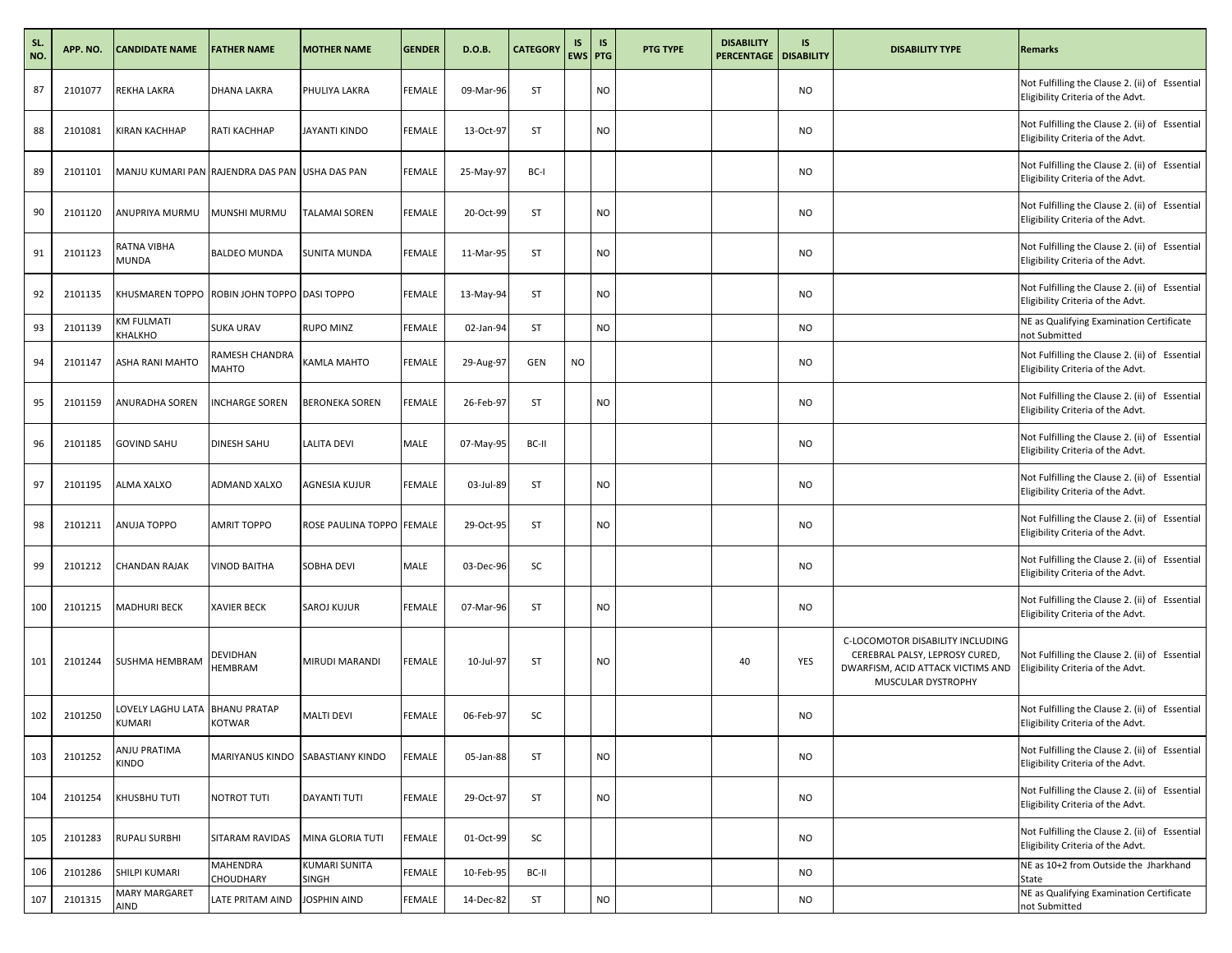| SL.<br>NO. | APP. NO. | <b>CANDIDATE NAME</b>                          | <b>FATHER NAME</b>                   | <b>MOTHER NAME</b>                   | <b>GENDER</b> | D.O.B.    | <b>CATEGORY</b> | IS<br>EWS PTG | <b>IS</b> | <b>PTG TYPE</b> | <b>DISABILITY</b><br><b>PERCENTAGE   DISABILITY</b> | IS        | <b>DISABILITY TYPE</b>                                                                                                        | <b>Remarks</b>                                                                      |
|------------|----------|------------------------------------------------|--------------------------------------|--------------------------------------|---------------|-----------|-----------------|---------------|-----------|-----------------|-----------------------------------------------------|-----------|-------------------------------------------------------------------------------------------------------------------------------|-------------------------------------------------------------------------------------|
| 87         | 2101077  | REKHA LAKRA                                    | DHANA LAKRA                          | PHULIYA LAKRA                        | FEMALE        | 09-Mar-96 | ST              |               | NO        |                 |                                                     | <b>NO</b> |                                                                                                                               | Not Fulfilling the Clause 2. (ii) of Essential<br>Eligibility Criteria of the Advt. |
| 88         | 2101081  | <b>KIRAN KACHHAP</b>                           | RATI KACHHAP                         | <b>JAYANTI KINDO</b>                 | <b>FEMALE</b> | 13-Oct-97 | ST              |               | <b>NO</b> |                 |                                                     | <b>NO</b> |                                                                                                                               | Not Fulfilling the Clause 2. (ii) of Essential<br>Eligibility Criteria of the Advt. |
| 89         | 2101101  | MANJU KUMARI PAN RAJENDRA DAS PAN USHA DAS PAN |                                      |                                      | FEMALE        | 25-May-97 | BC-I            |               |           |                 |                                                     | <b>NO</b> |                                                                                                                               | Not Fulfilling the Clause 2. (ii) of Essential<br>Eligibility Criteria of the Advt. |
| 90         | 2101120  | ANUPRIYA MURMU                                 | MUNSHI MURMU                         | <b>TALAMAI SOREN</b>                 | FEMALE        | 20-Oct-99 | ST              |               | NO        |                 |                                                     | <b>NO</b> |                                                                                                                               | Not Fulfilling the Clause 2. (ii) of Essential<br>Eligibility Criteria of the Advt. |
| 91         | 2101123  | RATNA VIBHA<br><b>MUNDA</b>                    | <b>BALDEO MUNDA</b>                  | <b>SUNITA MUNDA</b>                  | <b>FEMALE</b> | 11-Mar-95 | ST              |               | <b>NO</b> |                 |                                                     | <b>NO</b> |                                                                                                                               | Not Fulfilling the Clause 2. (ii) of Essential<br>Eligibility Criteria of the Advt. |
| 92         | 2101135  | KHUSMAREN TOPPO ROBIN JOHN TOPPO DASI TOPPO    |                                      |                                      | FEMALE        | 13-May-94 | ST              |               | NO        |                 |                                                     | <b>NO</b> |                                                                                                                               | Not Fulfilling the Clause 2. (ii) of Essential<br>Eligibility Criteria of the Advt. |
| 93         | 2101139  | KM FULMATI<br>KHALKHO                          | <b>SUKA URAV</b>                     | <b>RUPO MINZ</b>                     | FEMALE        | 02-Jan-94 | ST              |               | NO        |                 |                                                     | <b>NO</b> |                                                                                                                               | NE as Qualifying Examination Certificate<br>not Submitted                           |
| 94         | 2101147  | ASHA RANI MAHTO                                | RAMESH CHANDRA<br>MAHTO              | KAMLA MAHTO                          | FEMALE        | 29-Aug-97 | GEN             | <b>NO</b>     |           |                 |                                                     | <b>NO</b> |                                                                                                                               | Not Fulfilling the Clause 2. (ii) of Essential<br>Eligibility Criteria of the Advt. |
| 95         | 2101159  | <b>ANURADHA SOREN</b>                          | <b>INCHARGE SOREN</b>                | <b>BERONEKA SOREN</b>                | FEMALE        | 26-Feb-97 | ST              |               | NO        |                 |                                                     | <b>NO</b> |                                                                                                                               | Not Fulfilling the Clause 2. (ii) of Essential<br>Eligibility Criteria of the Advt. |
| 96         | 2101185  | <b>GOVIND SAHU</b>                             | DINESH SAHU                          | <b>LALITA DEVI</b>                   | MALE          | 07-May-95 | BC-II           |               |           |                 |                                                     | <b>NO</b> |                                                                                                                               | Not Fulfilling the Clause 2. (ii) of Essential<br>Eligibility Criteria of the Advt. |
| 97         | 2101195  | ALMA XALXO                                     | ADMAND XALXO                         | AGNESIA KUJUR                        | FEMALE        | 03-Jul-89 | ST              |               | NO        |                 |                                                     | <b>NO</b> |                                                                                                                               | Not Fulfilling the Clause 2. (ii) of Essential<br>Eligibility Criteria of the Advt. |
| 98         | 2101211  | <b>ANUJA TOPPO</b>                             | <b>AMRIT TOPPO</b>                   | ROSE PAULINA TOPPO FEMALE            |               | 29-Oct-95 | ST              |               | NO        |                 |                                                     | <b>NO</b> |                                                                                                                               | Not Fulfilling the Clause 2. (ii) of Essential<br>Eligibility Criteria of the Advt. |
| 99         | 2101212  | <b>CHANDAN RAJAK</b>                           | <b>VINOD BAITHA</b>                  | SOBHA DEVI                           | MALE          | 03-Dec-96 | SC              |               |           |                 |                                                     | <b>NO</b> |                                                                                                                               | Not Fulfilling the Clause 2. (ii) of Essential<br>Eligibility Criteria of the Advt. |
| 100        | 2101215  | <b>MADHURI BECK</b>                            | <b>XAVIER BECK</b>                   | SAROJ KUJUR                          | <b>FEMALE</b> | 07-Mar-96 | ST              |               | <b>NO</b> |                 |                                                     | <b>NO</b> |                                                                                                                               | Not Fulfilling the Clause 2. (ii) of Essential<br>Eligibility Criteria of the Advt. |
| 101        | 2101244  | <b>SUSHMA HEMBRAM</b>                          | DEVIDHAN<br>HEMBRAM                  | <b>MIRUDI MARANDI</b>                | <b>FEMALE</b> | 10-Jul-97 | ST              |               | NO        |                 | 40                                                  | YES       | C-LOCOMOTOR DISABILITY INCLUDING<br>CEREBRAL PALSY, LEPROSY CURED,<br>DWARFISM, ACID ATTACK VICTIMS AND<br>MUSCULAR DYSTROPHY | Not Fulfilling the Clause 2. (ii) of Essential<br>Eligibility Criteria of the Advt. |
| 102        | 2101250  | LOVELY LAGHU LATA<br><b>KUMARI</b>             | <b>BHANU PRATAP</b><br><b>KOTWAR</b> | <b>MALTI DEVI</b>                    | FEMALE        | 06-Feb-97 | SC              |               |           |                 |                                                     | <b>NO</b> |                                                                                                                               | Not Fulfilling the Clause 2. (ii) of Essential<br>Eligibility Criteria of the Advt. |
| 103        | 2101252  | ANJU PRATIMA<br><b>KINDO</b>                   | MARIYANUS KINDO SABASTIANY KINDO     |                                      | <b>FEMALE</b> | 05-Jan-88 | ST              |               | <b>NO</b> |                 |                                                     | <b>NO</b> |                                                                                                                               | Not Fulfilling the Clause 2. (ii) of Essential<br>Eligibility Criteria of the Advt. |
| 104        | 2101254  | KHUSBHU TUTI                                   | NOTROT TUTI                          | DAYANTI TUTI                         | FEMALE        | 29-Oct-97 | ST              |               | NO        |                 |                                                     | <b>NO</b> |                                                                                                                               | Not Fulfilling the Clause 2. (ii) of Essential<br>Eligibility Criteria of the Advt. |
| 105        | 2101283  | <b>RUPALI SURBHI</b>                           | SITARAM RAVIDAS                      | MINA GLORIA TUTI                     | <b>FEMALE</b> | 01-Oct-99 | SC              |               |           |                 |                                                     | <b>NO</b> |                                                                                                                               | Not Fulfilling the Clause 2. (ii) of Essential<br>Eligibility Criteria of the Advt. |
| 106        | 2101286  | SHILPI KUMARI                                  | MAHENDRA<br>CHOUDHARY                | <b>KUMARI SUNITA</b><br><b>SINGH</b> | FEMALE        | 10-Feb-95 | BC-II           |               |           |                 |                                                     | <b>NO</b> |                                                                                                                               | NE as 10+2 from Outside the Jharkhand<br>State                                      |
| 107        | 2101315  | MARY MARGARET<br>AIND                          | LATE PRITAM AIND                     | JOSPHIN AIND                         | FEMALE        | 14-Dec-82 | ST              |               | NO        |                 |                                                     | <b>NO</b> |                                                                                                                               | NE as Qualifying Examination Certificate<br>not Submitted                           |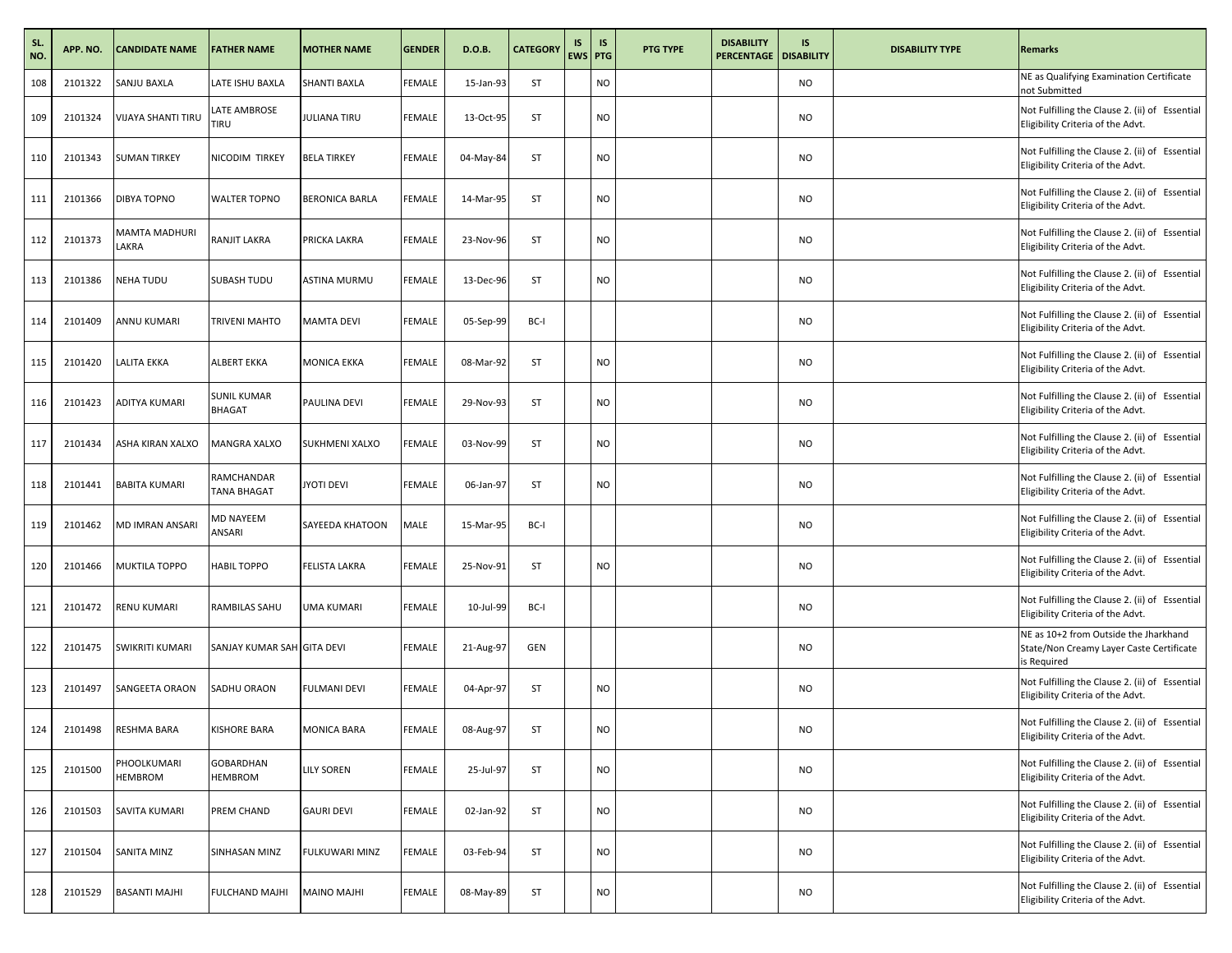| SL.<br>NO. | APP. NO. | <b>CANDIDATE NAME</b>     | <b>FATHER NAME</b>                  | <b>MOTHER NAME</b>    | <b>GENDER</b> | D.O.B.    | <b>CATEGORY</b> | IS<br>EWS PTG | IS        | <b>PTG TYPE</b> | <b>DISABILITY</b><br><b>PERCENTAGE</b> | <b>IS</b><br><b>DISABILITY</b> | <b>DISABILITY TYPE</b> | <b>Remarks</b>                                                                                   |
|------------|----------|---------------------------|-------------------------------------|-----------------------|---------------|-----------|-----------------|---------------|-----------|-----------------|----------------------------------------|--------------------------------|------------------------|--------------------------------------------------------------------------------------------------|
| 108        | 2101322  | <b>SANJU BAXLA</b>        | LATE ISHU BAXLA                     | SHANTI BAXLA          | FEMALE        | 15-Jan-93 | ST              |               | NO        |                 |                                        | <b>NO</b>                      |                        | NE as Qualifying Examination Certificate<br>not Submitted                                        |
| 109        | 2101324  | <b>VIJAYA SHANTI TIRU</b> | LATE AMBROSE<br>TIRU                | <b>JULIANA TIRU</b>   | FEMALE        | 13-Oct-95 | ST              |               | NO        |                 |                                        | <b>NO</b>                      |                        | Not Fulfilling the Clause 2. (ii) of Essential<br>Eligibility Criteria of the Advt.              |
| 110        | 2101343  | <b>SUMAN TIRKEY</b>       | NICODIM TIRKEY                      | <b>BELA TIRKEY</b>    | <b>FEMALE</b> | 04-May-84 | ST              |               | <b>NO</b> |                 |                                        | <b>NO</b>                      |                        | Not Fulfilling the Clause 2. (ii) of Essential<br>Eligibility Criteria of the Advt.              |
| 111        | 2101366  | DIBYA TOPNO               | <b>WALTER TOPNO</b>                 | <b>BERONICA BARLA</b> | FEMALE        | 14-Mar-95 | ST              |               | NO        |                 |                                        | <b>NO</b>                      |                        | Not Fulfilling the Clause 2. (ii) of Essential<br>Eligibility Criteria of the Advt.              |
| 112        | 2101373  | MAMTA MADHURI<br>LAKRA    | RANJIT LAKRA                        | PRICKA LAKRA          | FEMALE        | 23-Nov-96 | ST              |               | NO        |                 |                                        | <b>NO</b>                      |                        | Not Fulfilling the Clause 2. (ii) of Essential<br>Eligibility Criteria of the Advt.              |
| 113        | 2101386  | <b>NEHA TUDU</b>          | SUBASH TUDU                         | <b>ASTINA MURMU</b>   | <b>FEMALE</b> | 13-Dec-96 | ST              |               | NO        |                 |                                        | <b>NO</b>                      |                        | Not Fulfilling the Clause 2. (ii) of Essential<br>Eligibility Criteria of the Advt.              |
| 114        | 2101409  | <b>ANNU KUMARI</b>        | TRIVENI MAHTO                       | <b>MAMTA DEVI</b>     | FEMALE        | 05-Sep-99 | BC-I            |               |           |                 |                                        | <b>NO</b>                      |                        | Not Fulfilling the Clause 2. (ii) of Essential<br>Eligibility Criteria of the Advt.              |
| 115        | 2101420  | <b>LALITA EKKA</b>        | ALBERT EKKA                         | <b>MONICA EKKA</b>    | FEMALE        | 08-Mar-92 | ST              |               | NO        |                 |                                        | <b>NO</b>                      |                        | Not Fulfilling the Clause 2. (ii) of Essential<br>Eligibility Criteria of the Advt.              |
| 116        | 2101423  | <b>ADITYA KUMARI</b>      | <b>SUNIL KUMAR</b><br><b>BHAGAT</b> | PAULINA DEVI          | FEMALE        | 29-Nov-93 | ST              |               | NO        |                 |                                        | <b>NO</b>                      |                        | Not Fulfilling the Clause 2. (ii) of Essential<br>Eligibility Criteria of the Advt.              |
| 117        | 2101434  | ASHA KIRAN XALXO          | MANGRA XALXO                        | <b>SUKHMENI XALXO</b> | FEMALE        | 03-Nov-99 | ST              |               | NO        |                 |                                        | <b>NO</b>                      |                        | Not Fulfilling the Clause 2. (ii) of Essential<br>Eligibility Criteria of the Advt.              |
| 118        | 2101441  | <b>BABITA KUMARI</b>      | RAMCHANDAR<br>TANA BHAGAT           | <b>JYOTI DEVI</b>     | <b>FEMALE</b> | 06-Jan-97 | ST              |               | <b>NO</b> |                 |                                        | <b>NO</b>                      |                        | Not Fulfilling the Clause 2. (ii) of Essential<br>Eligibility Criteria of the Advt.              |
| 119        | 2101462  | <b>MD IMRAN ANSARI</b>    | MD NAYEEM<br>ANSARI                 | SAYEEDA KHATOON       | MALE          | 15-Mar-95 | BC-I            |               |           |                 |                                        | <b>NO</b>                      |                        | Not Fulfilling the Clause 2. (ii) of Essential<br>Eligibility Criteria of the Advt.              |
| 120        | 2101466  | <b>MUKTILA TOPPO</b>      | <b>HABIL TOPPO</b>                  | <b>FELISTA LAKRA</b>  | FEMALE        | 25-Nov-91 | ST              |               | NO        |                 |                                        | <b>NO</b>                      |                        | Not Fulfilling the Clause 2. (ii) of Essential<br>Eligibility Criteria of the Advt.              |
| 121        | 2101472  | <b>RENU KUMARI</b>        | RAMBILAS SAHU                       | <b>UMA KUMARI</b>     | FEMALE        | 10-Jul-99 | BC-I            |               |           |                 |                                        | <b>NO</b>                      |                        | Not Fulfilling the Clause 2. (ii) of Essential<br>Eligibility Criteria of the Advt.              |
| 122        | 2101475  | <b>SWIKRITI KUMARI</b>    | SANJAY KUMAR SAH GITA DEVI          |                       | FEMALE        | 21-Aug-97 | <b>GEN</b>      |               |           |                 |                                        | <b>NO</b>                      |                        | NE as 10+2 from Outside the Jharkhand<br>State/Non Creamy Layer Caste Certificate<br>is Required |
| 123        | 2101497  | <b>SANGEETA ORAON</b>     | SADHU ORAON                         | <b>FULMANI DEVI</b>   | FEMALE        | 04-Apr-97 | ST              |               | NO        |                 |                                        | <b>NO</b>                      |                        | Not Fulfilling the Clause 2. (ii) of Essential<br>Eligibility Criteria of the Advt.              |
| 124        | 2101498  | RESHMA BARA               | KISHORE BARA                        | <b>MONICA BARA</b>    | FEMALE        | 08-Aug-97 | ST              |               | NΟ        |                 |                                        | <b>NO</b>                      |                        | Not Fulfilling the Clause 2. (ii) of Essential<br>Eligibility Criteria of the Advt.              |
| 125        | 2101500  | PHOOLKUMARI<br>HEMBROM    | GOBARDHAN<br><b>HEMBROM</b>         | <b>LILY SOREN</b>     | <b>FEMALE</b> | 25-Jul-97 | ST              |               | <b>NO</b> |                 |                                        | <b>NO</b>                      |                        | Not Fulfilling the Clause 2. (ii) of Essential<br>Eligibility Criteria of the Advt.              |
| 126        | 2101503  | <b>SAVITA KUMARI</b>      | PREM CHAND                          | <b>GAURI DEVI</b>     | <b>FEMALE</b> | 02-Jan-92 | ST              |               | <b>NO</b> |                 |                                        | <b>NO</b>                      |                        | Not Fulfilling the Clause 2. (ii) of Essential<br>Eligibility Criteria of the Advt.              |
| 127        | 2101504  | SANITA MINZ               | SINHASAN MINZ                       | FULKUWARI MINZ        | FEMALE        | 03-Feb-94 | ST              |               | NO        |                 |                                        | <b>NO</b>                      |                        | Not Fulfilling the Clause 2. (ii) of Essential<br>Eligibility Criteria of the Advt.              |
| 128        | 2101529  | <b>BASANTI MAJHI</b>      | FULCHAND MAJHI                      | MAINO MAJHI           | FEMALE        | 08-May-89 | ST              |               | NO        |                 |                                        | <b>NO</b>                      |                        | Not Fulfilling the Clause 2. (ii) of Essential<br>Eligibility Criteria of the Advt.              |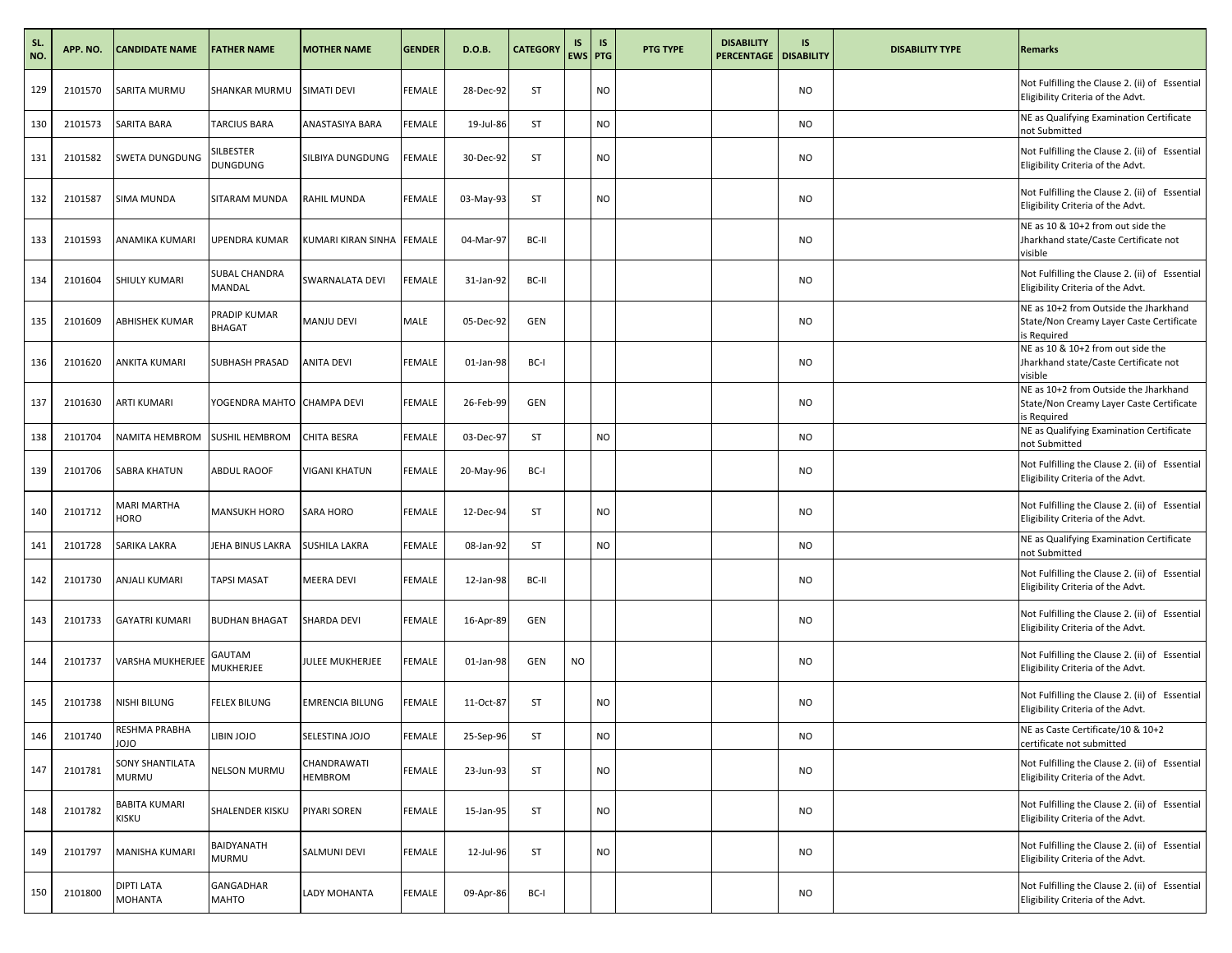| SL.<br>NO. | APP. NO. | <b>CANDIDATE NAME</b>           | <b>FATHER NAME</b>           | <b>MOTHER NAME</b>     | GENDER        | D.O.B.    | <b>CATEGORY</b> | IS<br><b>EWS PTG</b> | <b>IS</b> | <b>PTG TYPE</b> | <b>DISABILITY</b><br><b>PERCENTAGE</b> | IS.<br><b>DISABILITY</b> | <b>DISABILITY TYPE</b> | <b>Remarks</b>                                                                                   |
|------------|----------|---------------------------------|------------------------------|------------------------|---------------|-----------|-----------------|----------------------|-----------|-----------------|----------------------------------------|--------------------------|------------------------|--------------------------------------------------------------------------------------------------|
| 129        | 2101570  | SARITA MURMU                    | SHANKAR MURMU                | SIMATI DEVI            | FEMALE        | 28-Dec-92 | ST              |                      | NO        |                 |                                        | <b>NO</b>                |                        | Not Fulfilling the Clause 2. (ii) of Essential<br>Eligibility Criteria of the Advt.              |
| 130        | 2101573  | SARITA BARA                     | TARCIUS BARA                 | ANASTASIYA BARA        | FEMALE        | 19-Jul-86 | ST              |                      | NO        |                 |                                        | <b>NO</b>                |                        | NE as Qualifying Examination Certificate<br>not Submitted                                        |
| 131        | 2101582  | <b>SWETA DUNGDUNG</b>           | SILBESTER<br><b>DUNGDUNG</b> | SILBIYA DUNGDUNG       | <b>FEMALE</b> | 30-Dec-92 | ST              |                      | <b>NO</b> |                 |                                        | <b>NO</b>                |                        | Not Fulfilling the Clause 2. (ii) of Essential<br>Eligibility Criteria of the Advt.              |
| 132        | 2101587  | <b>SIMA MUNDA</b>               | SITARAM MUNDA                | RAHIL MUNDA            | FEMALE        | 03-May-93 | <b>ST</b>       |                      | NO        |                 |                                        | <b>NO</b>                |                        | Not Fulfilling the Clause 2. (ii) of Essential<br>Eligibility Criteria of the Advt.              |
| 133        | 2101593  | ANAMIKA KUMARI                  | UPENDRA KUMAR                | KUMARI KIRAN SINHA     | <b>FEMALE</b> | 04-Mar-97 | BC-II           |                      |           |                 |                                        | <b>NO</b>                |                        | NE as 10 & 10+2 from out side the<br>Jharkhand state/Caste Certificate not<br>visible            |
| 134        | 2101604  | <b>SHIULY KUMARI</b>            | SUBAL CHANDRA<br>MANDAL      | SWARNALATA DEVI        | FEMALE        | 31-Jan-92 | BC-II           |                      |           |                 |                                        | <b>NO</b>                |                        | Not Fulfilling the Clause 2. (ii) of Essential<br>Eligibility Criteria of the Advt.              |
| 135        | 2101609  | <b>ABHISHEK KUMAR</b>           | PRADIP KUMAR<br>BHAGAT       | MANJU DEVI             | MALE          | 05-Dec-92 | <b>GEN</b>      |                      |           |                 |                                        | <b>NO</b>                |                        | NE as 10+2 from Outside the Jharkhand<br>State/Non Creamy Layer Caste Certificate<br>is Required |
| 136        | 2101620  | <b>ANKITA KUMARI</b>            | SUBHASH PRASAD               | ANITA DEVI             | FEMALE        | 01-Jan-98 | BC-I            |                      |           |                 |                                        | <b>NO</b>                |                        | NE as 10 & 10+2 from out side the<br>Jharkhand state/Caste Certificate not<br>visible            |
| 137        | 2101630  | <b>ARTI KUMARI</b>              | YOGENDRA MAHTO CHAMPA DEVI   |                        | <b>FEMALE</b> | 26-Feb-99 | <b>GEN</b>      |                      |           |                 |                                        | <b>NO</b>                |                        | NE as 10+2 from Outside the Jharkhand<br>State/Non Creamy Layer Caste Certificate<br>is Required |
| 138        | 2101704  | NAMITA HEMBROM                  | SUSHIL HEMBROM               | <b>CHITA BESRA</b>     | FEMALE        | 03-Dec-97 | ST              |                      | NO        |                 |                                        | <b>NO</b>                |                        | NE as Qualifying Examination Certificate<br>not Submitted                                        |
| 139        | 2101706  | <b>SABRA KHATUN</b>             | ABDUL RAOOF                  | <b>VIGANI KHATUN</b>   | <b>FEMALE</b> | 20-May-96 | BC-I            |                      |           |                 |                                        | <b>NO</b>                |                        | Not Fulfilling the Clause 2. (ii) of Essential<br>Eligibility Criteria of the Advt.              |
| 140        | 2101712  | MARI MARTHA<br><b>HORO</b>      | <b>MANSUKH HORO</b>          | <b>SARA HORO</b>       | FEMALE        | 12-Dec-94 | <b>ST</b>       |                      | NO        |                 |                                        | <b>NO</b>                |                        | Not Fulfilling the Clause 2. (ii) of Essential<br>Eligibility Criteria of the Advt.              |
| 141        | 2101728  | SARIKA LAKRA                    | JEHA BINUS LAKRA             | <b>SUSHILA LAKRA</b>   | FEMALE        | 08-Jan-92 | ST              |                      | NO        |                 |                                        | <b>NO</b>                |                        | NE as Qualifying Examination Certificate<br>not Submitted                                        |
| 142        | 2101730  | <b>ANJALI KUMARI</b>            | <b>TAPSI MASAT</b>           | <b>MEERA DEVI</b>      | FEMALE        | 12-Jan-98 | BC-II           |                      |           |                 |                                        | <b>NO</b>                |                        | Not Fulfilling the Clause 2. (ii) of Essential<br>Eligibility Criteria of the Advt.              |
| 143        | 2101733  | <b>GAYATRI KUMARI</b>           | <b>BUDHAN BHAGAT</b>         | SHARDA DEVI            | FEMALE        | 16-Apr-89 | GEN             |                      |           |                 |                                        | <b>NO</b>                |                        | Not Fulfilling the Clause 2. (ii) of Essential<br>Eligibility Criteria of the Advt.              |
| 144        | 2101737  | <b>VARSHA MUKHERJEE</b>         | GAUTAM<br>MUKHERJEE          | <b>JULEE MUKHERJEE</b> | FEMALE        | 01-Jan-98 | <b>GEN</b>      | <b>NO</b>            |           |                 |                                        | <b>NO</b>                |                        | Not Fulfilling the Clause 2. (ii) of Essential<br>Eligibility Criteria of the Advt.              |
| 145        | 2101738  | NISHI BILUNG                    | FELEX BILUNG                 | <b>EMRENCIA BILUNG</b> | FEMALE        | 11-Oct-87 | ST              |                      | NO        |                 |                                        | NO.                      |                        | Not Fulfilling the Clause 2. (ii) of Essential<br>Eligibility Criteria of the Advt.              |
| 146        | 2101740  | RESHMA PRABHA<br>OLOL           | <b>OLOL VIBIL</b>            | SELESTINA JOJO         | FEMALE        | 25-Sep-96 | ST              |                      | <b>NO</b> |                 |                                        | <b>NO</b>                |                        | NE as Caste Certificate/10 & 10+2<br>certificate not submitted                                   |
| 147        | 2101781  | SONY SHANTILATA<br><b>MURMU</b> | <b>NELSON MURMU</b>          | CHANDRAWATI<br>HEMBROM | <b>FEMALE</b> | 23-Jun-93 | ST              |                      | <b>NO</b> |                 |                                        | <b>NO</b>                |                        | Not Fulfilling the Clause 2. (ii) of Essential<br>Eligibility Criteria of the Advt.              |
| 148        | 2101782  | <b>BABITA KUMARI</b><br>KISKU   | SHALENDER KISKU              | PIYARI SOREN           | <b>FEMALE</b> | 15-Jan-95 | ST              |                      | <b>NO</b> |                 |                                        | <b>NO</b>                |                        | Not Fulfilling the Clause 2. (ii) of Essential<br>Eligibility Criteria of the Advt.              |
| 149        | 2101797  | MANISHA KUMARI                  | BAIDYANATH<br>MURMU          | <b>SALMUNI DEVI</b>    | FEMALE        | 12-Jul-96 | ST              |                      | NO        |                 |                                        | <b>NO</b>                |                        | Not Fulfilling the Clause 2. (ii) of Essential<br>Eligibility Criteria of the Advt.              |
| 150        | 2101800  | DIPTI LATA<br>MOHANTA           | GANGADHAR<br>MAHTO           | LADY MOHANTA           | FEMALE        | 09-Apr-86 | BC-I            |                      |           |                 |                                        | <b>NO</b>                |                        | Not Fulfilling the Clause 2. (ii) of Essential<br>Eligibility Criteria of the Advt.              |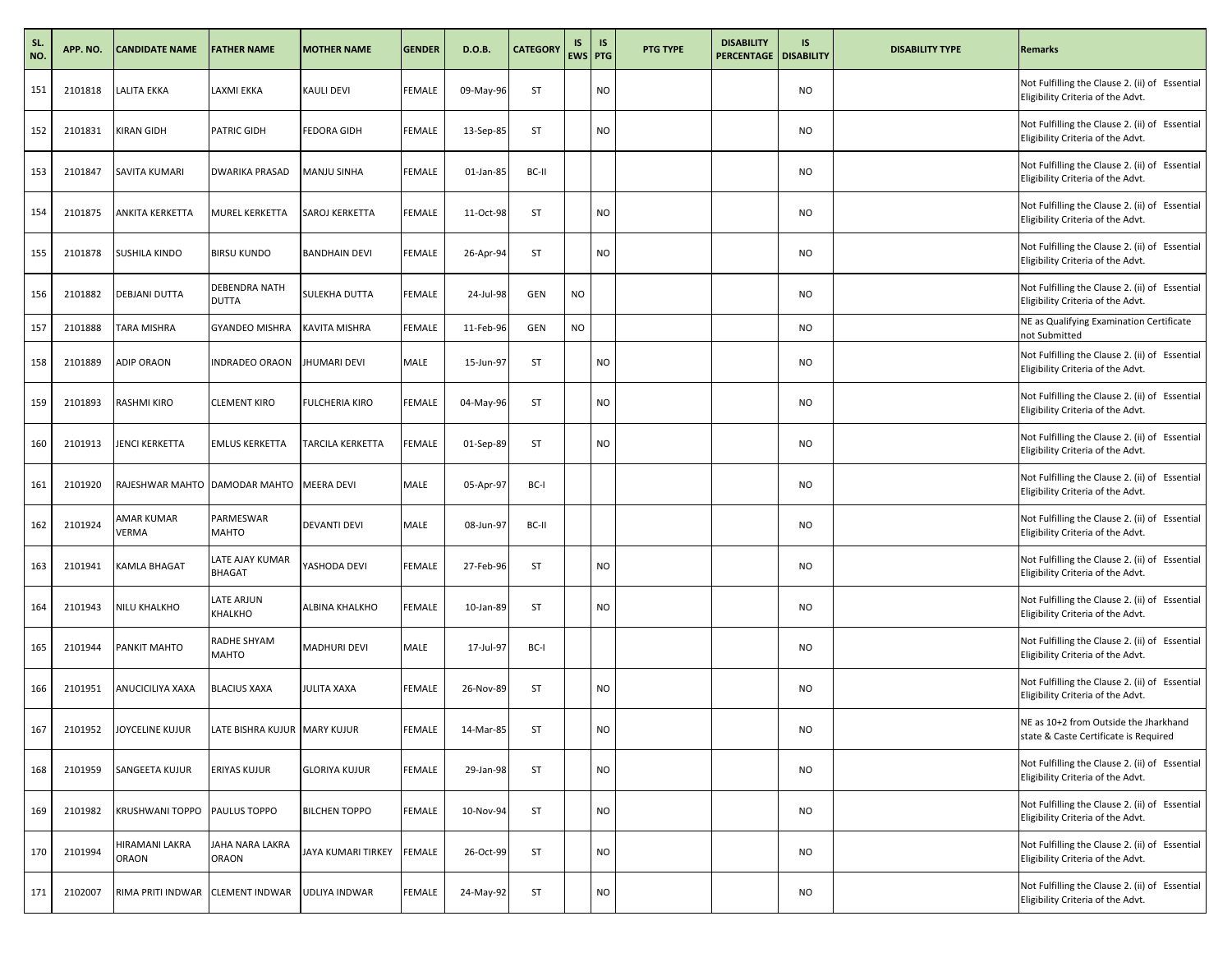| SL.<br>NO. | APP. NO. | <b>CANDIDATE NAME</b>          | <b>FATHER NAME</b>               | <b>MOTHER NAME</b>    | <b>GENDER</b> | D.O.B.    | <b>CATEGORY</b> | IS<br>EWS PTG | <b>IS</b> | <b>PTG TYPE</b> | <b>DISABILITY</b><br><b>PERCENTAGE   DISABILITY</b> | IS        | <b>DISABILITY TYPE</b> | <b>Remarks</b>                                                                      |
|------------|----------|--------------------------------|----------------------------------|-----------------------|---------------|-----------|-----------------|---------------|-----------|-----------------|-----------------------------------------------------|-----------|------------------------|-------------------------------------------------------------------------------------|
| 151        | 2101818  | <b>LALITA EKKA</b>             | LAXMI EKKA                       | <b>KAULI DEVI</b>     | FEMALE        | 09-May-96 | ST              |               | NO        |                 |                                                     | <b>NO</b> |                        | Not Fulfilling the Clause 2. (ii) of Essential<br>Eligibility Criteria of the Advt. |
| 152        | 2101831  | <b>KIRAN GIDH</b>              | PATRIC GIDH                      | <b>FEDORA GIDH</b>    | <b>FEMALE</b> | 13-Sep-85 | ST              |               | <b>NO</b> |                 |                                                     | <b>NO</b> |                        | Not Fulfilling the Clause 2. (ii) of Essential<br>Eligibility Criteria of the Advt. |
| 153        | 2101847  | SAVITA KUMARI                  | DWARIKA PRASAD                   | MANJU SINHA           | FEMALE        | 01-Jan-85 | BC-II           |               |           |                 |                                                     | <b>NO</b> |                        | Not Fulfilling the Clause 2. (ii) of Essential<br>Eligibility Criteria of the Advt. |
| 154        | 2101875  | <b>ANKITA KERKETTA</b>         | <b>MUREL KERKETTA</b>            | SAROJ KERKETTA        | FEMALE        | 11-Oct-98 | ST              |               | NO        |                 |                                                     | <b>NO</b> |                        | Not Fulfilling the Clause 2. (ii) of Essential<br>Eligibility Criteria of the Advt. |
| 155        | 2101878  | <b>SUSHILA KINDO</b>           | <b>BIRSU KUNDO</b>               | <b>BANDHAIN DEVI</b>  | <b>FEMALE</b> | 26-Apr-94 | ST              |               | <b>NO</b> |                 |                                                     | <b>NO</b> |                        | Not Fulfilling the Clause 2. (ii) of Essential<br>Eligibility Criteria of the Advt. |
| 156        | 2101882  | DEBJANI DUTTA                  | DEBENDRA NATH<br>DUTTA           | SULEKHA DUTTA         | FEMALE        | 24-Jul-98 | <b>GEN</b>      | <b>NO</b>     |           |                 |                                                     | <b>NO</b> |                        | Not Fulfilling the Clause 2. (ii) of Essential<br>Eligibility Criteria of the Advt. |
| 157        | 2101888  | TARA MISHRA                    | <b>GYANDEO MISHRA</b>            | <b>KAVITA MISHRA</b>  | FEMALE        | 11-Feb-96 | <b>GEN</b>      | <b>NO</b>     |           |                 |                                                     | <b>NO</b> |                        | NE as Qualifying Examination Certificate<br>not Submitted                           |
| 158        | 2101889  | <b>ADIP ORAON</b>              | <b>INDRADEO ORAON</b>            | <b>JHUMARI DEVI</b>   | MALE          | 15-Jun-97 | ST              |               | NO        |                 |                                                     | <b>NO</b> |                        | Not Fulfilling the Clause 2. (ii) of Essential<br>Eligibility Criteria of the Advt. |
| 159        | 2101893  | <b>RASHMI KIRO</b>             | <b>CLEMENT KIRO</b>              | <b>FULCHERIA KIRO</b> | FEMALE        | 04-May-96 | ST              |               | NO        |                 |                                                     | <b>NO</b> |                        | Not Fulfilling the Clause 2. (ii) of Essential<br>Eligibility Criteria of the Advt. |
| 160        | 2101913  | <b>JENCI KERKETTA</b>          | <b>EMLUS KERKETTA</b>            | TARCILA KERKETTA      | FEMALE        | 01-Sep-89 | ST              |               | <b>NO</b> |                 |                                                     | <b>NO</b> |                        | Not Fulfilling the Clause 2. (ii) of Essential<br>Eligibility Criteria of the Advt. |
| 161        | 2101920  | RAJESHWAR MAHTO DAMODAR MAHTO  |                                  | <b>MEERA DEVI</b>     | MALE          | 05-Apr-97 | BC-I            |               |           |                 |                                                     | <b>NO</b> |                        | Not Fulfilling the Clause 2. (ii) of Essential<br>Eligibility Criteria of the Advt. |
| 162        | 2101924  | AMAR KUMAR<br>VERMA            | PARMESWAR<br>MAHTO               | <b>DEVANTI DEVI</b>   | MALE          | 08-Jun-97 | BC-II           |               |           |                 |                                                     | <b>NO</b> |                        | Not Fulfilling the Clause 2. (ii) of Essential<br>Eligibility Criteria of the Advt. |
| 163        | 2101941  | <b>KAMLA BHAGAT</b>            | LATE AJAY KUMAR<br><b>BHAGAT</b> | YASHODA DEVI          | FEMALE        | 27-Feb-96 | ST              |               | NO        |                 |                                                     | <b>NO</b> |                        | Not Fulfilling the Clause 2. (ii) of Essential<br>Eligibility Criteria of the Advt. |
| 164        | 2101943  | NILU KHALKHO                   | LATE ARJUN<br>KHALKHO            | ALBINA KHALKHO        | <b>FEMALE</b> | 10-Jan-89 | ST              |               | <b>NO</b> |                 |                                                     | <b>NO</b> |                        | Not Fulfilling the Clause 2. (ii) of Essential<br>Eligibility Criteria of the Advt. |
| 165        | 2101944  | PANKIT MAHTO                   | RADHE SHYAM<br>MAHTO             | <b>MADHURI DEVI</b>   | MALE          | 17-Jul-97 | BC-I            |               |           |                 |                                                     | <b>NO</b> |                        | Not Fulfilling the Clause 2. (ii) of Essential<br>Eligibility Criteria of the Advt. |
| 166        | 2101951  | ANUCICILIYA XAXA               | <b>BLACIUS XAXA</b>              | <b>JULITA XAXA</b>    | FEMALE        | 26-Nov-89 | ST              |               | NO        |                 |                                                     | <b>NO</b> |                        | Not Fulfilling the Clause 2. (ii) of Essential<br>Eligibility Criteria of the Advt. |
| 167        | 2101952  | JOYCELINE KUJUR                | LATE BISHRA KUJUR MARY KUJUR     |                       | FEMALE        | 14-Mar-85 | ST              |               | NO        |                 |                                                     | <b>NO</b> |                        | NE as 10+2 from Outside the Jharkhand<br>state & Caste Certificate is Required      |
| 168        | 2101959  | SANGEETA KUJUR                 | ERIYAS KUJUR                     | <b>GLORIYA KUJUR</b>  | FEMALE        | 29-Jan-98 | ST              |               | NO        |                 |                                                     | <b>NO</b> |                        | Not Fulfilling the Clause 2. (ii) of Essential<br>Eligibility Criteria of the Advt. |
| 169        | 2101982  | <b>KRUSHWANI TOPPO</b>         | PAULUS TOPPO                     | <b>BILCHEN TOPPO</b>  | FEMALE        | 10-Nov-94 | ST              |               | NO        |                 |                                                     | <b>NO</b> |                        | Not Fulfilling the Clause 2. (ii) of Essential<br>Eligibility Criteria of the Advt. |
| 170        | 2101994  | HIRAMANI LAKRA<br><b>ORAON</b> | JAHA NARA LAKRA<br>ORAON         | JAYA KUMARI TIRKEY    | FEMALE        | 26-Oct-99 | ST              |               | NO        |                 |                                                     | <b>NO</b> |                        | Not Fulfilling the Clause 2. (ii) of Essential<br>Eligibility Criteria of the Advt. |
| 171        | 2102007  | RIMA PRITI INDWAR              | <b>CLEMENT INDWAR</b>            | UDLIYA INDWAR         | <b>FEMALE</b> | 24-May-92 | ST              |               | NO        |                 |                                                     | <b>NO</b> |                        | Not Fulfilling the Clause 2. (ii) of Essential<br>Eligibility Criteria of the Advt. |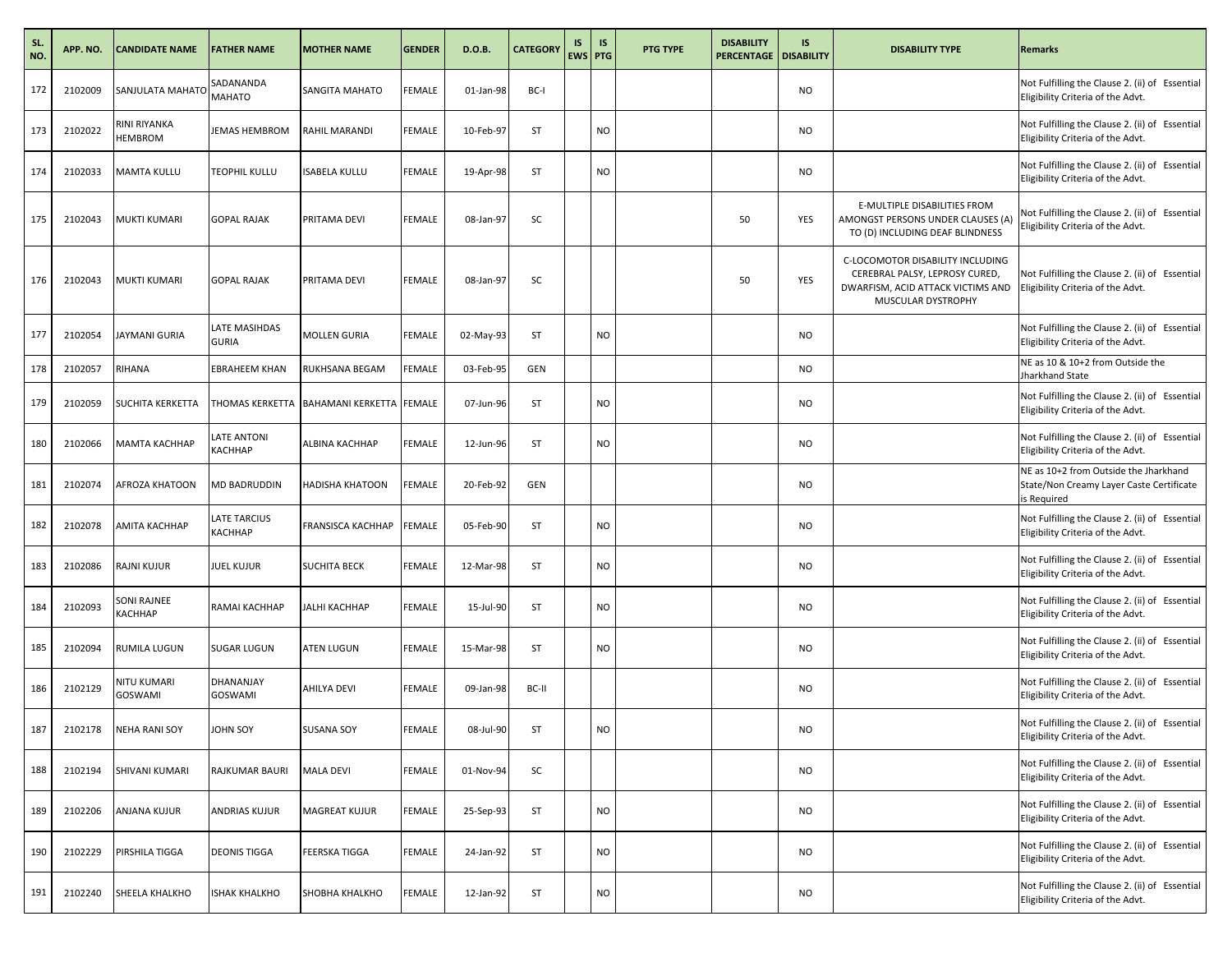| SL.<br>NO. | APP. NO. | <b>CANDIDATE NAME</b>          | <b>FATHER NAME</b>             | <b>MOTHER NAME</b>                       | <b>GENDER</b> | D.O.B.    | <b>CATEGORY</b> | IS<br>EWS PTG | <b>IS</b> | <b>PTG TYPE</b> | <b>DISABILITY</b><br><b>PERCENTAGE   DISABILITY</b> | IS        | <b>DISABILITY TYPE</b>                                                                                                        | <b>Remarks</b>                                                                                   |
|------------|----------|--------------------------------|--------------------------------|------------------------------------------|---------------|-----------|-----------------|---------------|-----------|-----------------|-----------------------------------------------------|-----------|-------------------------------------------------------------------------------------------------------------------------------|--------------------------------------------------------------------------------------------------|
| 172        | 2102009  | SANJULATA MAHATO               | SADANANDA<br>MAHATO            | SANGITA MAHATO                           | FEMALE        | 01-Jan-98 | BC-I            |               |           |                 |                                                     | <b>NO</b> |                                                                                                                               | Not Fulfilling the Clause 2. (ii) of Essential<br>Eligibility Criteria of the Advt.              |
| 173        | 2102022  | RINI RIYANKA<br><b>HEMBROM</b> | JEMAS HEMBROM                  | RAHIL MARANDI                            | <b>FEMALE</b> | 10-Feb-97 | ST              |               | <b>NO</b> |                 |                                                     | <b>NO</b> |                                                                                                                               | Not Fulfilling the Clause 2. (ii) of Essential<br>Eligibility Criteria of the Advt.              |
| 174        | 2102033  | <b>MAMTA KULLU</b>             | TEOPHIL KULLU                  | <b>ISABELA KULLU</b>                     | FEMALE        | 19-Apr-98 | ST              |               | NO        |                 |                                                     | <b>NO</b> |                                                                                                                               | Not Fulfilling the Clause 2. (ii) of Essential<br>Eligibility Criteria of the Advt.              |
| 175        | 2102043  | MUKTI KUMARI                   | <b>GOPAL RAJAK</b>             | PRITAMA DEVI                             | FEMALE        | 08-Jan-97 | SC              |               |           |                 | 50                                                  | YES       | E-MULTIPLE DISABILITIES FROM<br>AMONGST PERSONS UNDER CLAUSES (A)<br>TO (D) INCLUDING DEAF BLINDNESS                          | Not Fulfilling the Clause 2. (ii) of Essential<br>Eligibility Criteria of the Advt.              |
| 176        | 2102043  | <b>MUKTI KUMARI</b>            | <b>GOPAL RAJAK</b>             | PRITAMA DEVI                             | <b>FEMALE</b> | 08-Jan-97 | SC              |               |           |                 | 50                                                  | YES       | C-LOCOMOTOR DISABILITY INCLUDING<br>CEREBRAL PALSY, LEPROSY CURED,<br>DWARFISM, ACID ATTACK VICTIMS AND<br>MUSCULAR DYSTROPHY | Not Fulfilling the Clause 2. (ii) of Essential<br>Eligibility Criteria of the Advt.              |
| 177        | 2102054  | <b>JAYMANI GURIA</b>           | LATE MASIHDAS<br><b>GURIA</b>  | MOLLEN GURIA                             | FEMALE        | 02-May-93 | ST              |               | NO        |                 |                                                     | <b>NO</b> |                                                                                                                               | Not Fulfilling the Clause 2. (ii) of Essential<br>Eligibility Criteria of the Advt.              |
| 178        | 2102057  | RIHANA                         | <b>EBRAHEEM KHAN</b>           | RUKHSANA BEGAM                           | FEMALE        | 03-Feb-95 | <b>GEN</b>      |               |           |                 |                                                     | <b>NO</b> |                                                                                                                               | NE as 10 & 10+2 from Outside the<br>Jharkhand State                                              |
| 179        | 2102059  | <b>SUCHITA KERKETTA</b>        |                                | THOMAS KERKETTA BAHAMANI KERKETTA FEMALE |               | 07-Jun-96 | ST              |               | NO        |                 |                                                     | <b>NO</b> |                                                                                                                               | Not Fulfilling the Clause 2. (ii) of Essential<br>Eligibility Criteria of the Advt.              |
| 180        | 2102066  | МАМТА КАСННАР                  | LATE ANTONI<br>КАСННАР         | ALBINA KACHHAP                           | FEMALE        | 12-Jun-96 | ST              |               | <b>NO</b> |                 |                                                     | <b>NO</b> |                                                                                                                               | Not Fulfilling the Clause 2. (ii) of Essential<br>Eligibility Criteria of the Advt.              |
| 181        | 2102074  | <b>AFROZA KHATOON</b>          | MD BADRUDDIN                   | <b>HADISHA KHATOON</b>                   | FEMALE        | 20-Feb-92 | <b>GEN</b>      |               |           |                 |                                                     | <b>NO</b> |                                                                                                                               | NE as 10+2 from Outside the Jharkhand<br>State/Non Creamy Layer Caste Certificate<br>is Required |
| 182        | 2102078  | <b>AMITA KACHHAP</b>           | LATE TARCIUS<br><b>КАСННАР</b> | <b>FRANSISCA KACHHAP</b>                 | FEMALE        | 05-Feb-90 | ST              |               | NO        |                 |                                                     | <b>NO</b> |                                                                                                                               | Not Fulfilling the Clause 2. (ii) of Essential<br>Eligibility Criteria of the Advt.              |
| 183        | 2102086  | <b>RAJNI KUJUR</b>             | JUEL KUJUR                     | <b>SUCHITA BECK</b>                      | FEMALE        | 12-Mar-98 | <b>ST</b>       |               | NO        |                 |                                                     | <b>NO</b> |                                                                                                                               | Not Fulfilling the Clause 2. (ii) of Essential<br>Eligibility Criteria of the Advt.              |
| 184        | 2102093  | SONI RAJNEE<br>КАСННАР         | RAMAI KACHHAP                  | JALHI KACHHAP                            | <b>FEMALE</b> | 15-Jul-90 | <b>ST</b>       |               | <b>NO</b> |                 |                                                     | <b>NO</b> |                                                                                                                               | Not Fulfilling the Clause 2. (ii) of Essential<br>Eligibility Criteria of the Advt.              |
| 185        | 2102094  | RUMILA LUGUN                   | SUGAR LUGUN                    | ATEN LUGUN                               | FEMALE        | 15-Mar-98 | ST              |               | NO        |                 |                                                     | <b>NO</b> |                                                                                                                               | Not Fulfilling the Clause 2. (ii) of Essential<br>Eligibility Criteria of the Advt.              |
| 186        | 2102129  | NITU KUMARI<br>GOSWAMI         | DHANANJAY<br>GOSWAMI           | AHILYA DEVI                              | FEMALE        | 09-Jan-98 | BC-II           |               |           |                 |                                                     | <b>NO</b> |                                                                                                                               | Not Fulfilling the Clause 2. (ii) of Essential<br>Eligibility Criteria of the Advt.              |
| 187        | 2102178  | <b>NEHA RANI SOY</b>           | <b>OHN SOY</b>                 | <b>SUSANA SOY</b>                        | FEMALE        | 08-Jul-90 | ST              |               | NO        |                 |                                                     | <b>NO</b> |                                                                                                                               | Not Fulfilling the Clause 2. (ii) of Essential<br>Eligibility Criteria of the Advt.              |
| 188        | 2102194  | SHIVANI KUMARI                 | RAJKUMAR BAURI                 | <b>MALA DEVI</b>                         | FEMALE        | 01-Nov-94 | SC              |               |           |                 |                                                     | <b>NO</b> |                                                                                                                               | Not Fulfilling the Clause 2. (ii) of Essential<br>Eligibility Criteria of the Advt.              |
| 189        | 2102206  | <b>ANJANA KUJUR</b>            | ANDRIAS KUJUR                  | <b>MAGREAT KUJUR</b>                     | FEMALE        | 25-Sep-93 | ST              |               | NO        |                 |                                                     | <b>NO</b> |                                                                                                                               | Not Fulfilling the Clause 2. (ii) of Essential<br>Eligibility Criteria of the Advt.              |
| 190        | 2102229  | PIRSHILA TIGGA                 | DEONIS TIGGA                   | <b>FEERSKA TIGGA</b>                     | FEMALE        | 24-Jan-92 | ST              |               | NO        |                 |                                                     | <b>NO</b> |                                                                                                                               | Not Fulfilling the Clause 2. (ii) of Essential<br>Eligibility Criteria of the Advt.              |
| 191        | 2102240  | SHEELA KHALKHO                 | <b>ISHAK KHALKHO</b>           | SHOBHA KHALKHO                           | <b>FEMALE</b> | 12-Jan-92 | ST              |               | NO        |                 |                                                     | <b>NO</b> |                                                                                                                               | Not Fulfilling the Clause 2. (ii) of Essential<br>Eligibility Criteria of the Advt.              |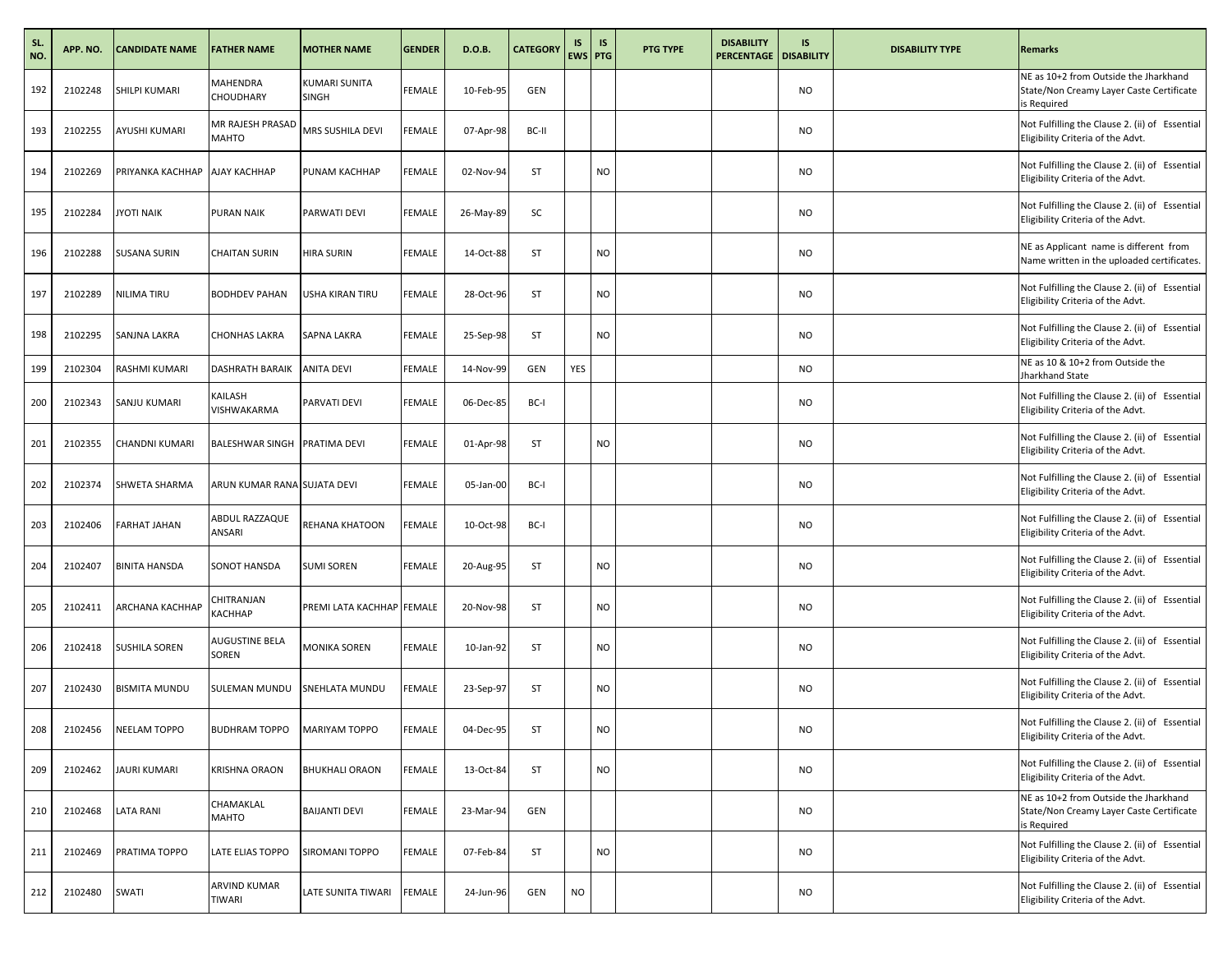| SL.<br>NO. | APP. NO. | <b>CANDIDATE NAME</b> | <b>FATHER NAME</b>               | <b>MOTHER NAME</b>                   | <b>GENDER</b> | D.O.B.    | <b>CATEGORY</b> | IS<br>EWS PTG | <b>IS</b> | <b>PTG TYPE</b> | <b>DISABILITY</b><br><b>PERCENTAGE   DISABILITY</b> | IS        | <b>DISABILITY TYPE</b> | <b>Remarks</b>                                                                                   |
|------------|----------|-----------------------|----------------------------------|--------------------------------------|---------------|-----------|-----------------|---------------|-----------|-----------------|-----------------------------------------------------|-----------|------------------------|--------------------------------------------------------------------------------------------------|
| 192        | 2102248  | SHILPI KUMARI         | MAHENDRA<br>CHOUDHARY            | <b>KUMARI SUNITA</b><br><b>SINGH</b> | FEMALE        | 10-Feb-95 | <b>GEN</b>      |               |           |                 |                                                     | <b>NO</b> |                        | NE as 10+2 from Outside the Jharkhand<br>State/Non Creamy Layer Caste Certificate<br>is Required |
| 193        | 2102255  | <b>AYUSHI KUMARI</b>  | MR RAJESH PRASAD<br><b>MAHTO</b> | MRS SUSHILA DEVI                     | <b>FEMALE</b> | 07-Apr-98 | BC-II           |               |           |                 |                                                     | <b>NO</b> |                        | Not Fulfilling the Clause 2. (ii) of Essential<br>Eligibility Criteria of the Advt.              |
| 194        | 2102269  | PRIYANKA KACHHAP      | AJAY KACHHAP                     | PUNAM KACHHAP                        | FEMALE        | 02-Nov-94 | ST              |               | NO        |                 |                                                     | <b>NO</b> |                        | Not Fulfilling the Clause 2. (ii) of Essential<br>Eligibility Criteria of the Advt.              |
| 195        | 2102284  | <b>JYOTI NAIK</b>     | PURAN NAIK                       | PARWATI DEVI                         | FEMALE        | 26-May-89 | SC              |               |           |                 |                                                     | <b>NO</b> |                        | Not Fulfilling the Clause 2. (ii) of Essential<br>Eligibility Criteria of the Advt.              |
| 196        | 2102288  | <b>SUSANA SURIN</b>   | <b>CHAITAN SURIN</b>             | <b>HIRA SURIN</b>                    | <b>FEMALE</b> | 14-Oct-88 | ST              |               | <b>NO</b> |                 |                                                     | <b>NO</b> |                        | NE as Applicant name is different from<br>Name written in the uploaded certificates.             |
| 197        | 2102289  | <b>NILIMA TIRU</b>    | <b>BODHDEV PAHAN</b>             | USHA KIRAN TIRU                      | FEMALE        | 28-Oct-96 | ST              |               | NO        |                 |                                                     | <b>NO</b> |                        | Not Fulfilling the Clause 2. (ii) of Essential<br>Eligibility Criteria of the Advt.              |
| 198        | 2102295  | SANJNA LAKRA          | <b>CHONHAS LAKRA</b>             | SAPNA LAKRA                          | FEMALE        | 25-Sep-98 | ST              |               | NO        |                 |                                                     | <b>NO</b> |                        | Not Fulfilling the Clause 2. (ii) of Essential<br>Eligibility Criteria of the Advt.              |
| 199        | 2102304  | RASHMI KUMARI         | DASHRATH BARAIK                  | <b>ANITA DEVI</b>                    | FEMALE        | 14-Nov-99 | GEN             | YES           |           |                 |                                                     | <b>NO</b> |                        | NE as 10 & 10+2 from Outside the<br>Jharkhand State                                              |
| 200        | 2102343  | SANJU KUMARI          | KAILASH<br>VISHWAKARMA           | PARVATI DEVI                         | FEMALE        | 06-Dec-85 | BC-I            |               |           |                 |                                                     | <b>NO</b> |                        | Not Fulfilling the Clause 2. (ii) of Essential<br>Eligibility Criteria of the Advt.              |
| 201        | 2102355  | CHANDNI KUMARI        | BALESHWAR SINGH PRATIMA DEVI     |                                      | <b>FEMALE</b> | 01-Apr-98 | ST              |               | <b>NO</b> |                 |                                                     | <b>NO</b> |                        | Not Fulfilling the Clause 2. (ii) of Essential<br>Eligibility Criteria of the Advt.              |
| 202        | 2102374  | <b>SHWETA SHARMA</b>  | ARUN KUMAR RANA SUJATA DEVI      |                                      | FEMALE        | 05-Jan-00 | BC-I            |               |           |                 |                                                     | <b>NO</b> |                        | Not Fulfilling the Clause 2. (ii) of Essential<br>Eligibility Criteria of the Advt.              |
| 203        | 2102406  | <b>FARHAT JAHAN</b>   | ABDUL RAZZAQUE<br>ANSARI         | REHANA KHATOON                       | FEMALE        | 10-Oct-98 | BC-I            |               |           |                 |                                                     | <b>NO</b> |                        | Not Fulfilling the Clause 2. (ii) of Essential<br>Eligibility Criteria of the Advt.              |
| 204        | 2102407  | <b>BINITA HANSDA</b>  | SONOT HANSDA                     | <b>SUMI SOREN</b>                    | FEMALE        | 20-Aug-95 | ST              |               | NO        |                 |                                                     | <b>NO</b> |                        | Not Fulfilling the Clause 2. (ii) of Essential<br>Eligibility Criteria of the Advt.              |
| 205        | 2102411  | ARCHANA KACHHAP       | CHITRANJAN<br>КАСННАР            | PREMI LATA KACHHAP FEMALE            |               | 20-Nov-98 | ST              |               | <b>NO</b> |                 |                                                     | <b>NO</b> |                        | Not Fulfilling the Clause 2. (ii) of Essential<br>Eligibility Criteria of the Advt.              |
| 206        | 2102418  | <b>SUSHILA SOREN</b>  | AUGUSTINE BELA<br>SOREN          | <b>MONIKA SOREN</b>                  | FEMALE        | 10-Jan-92 | ST              |               | NO        |                 |                                                     | <b>NO</b> |                        | Not Fulfilling the Clause 2. (ii) of Essential<br>Eligibility Criteria of the Advt.              |
| 207        | 2102430  | <b>BISMITA MUNDU</b>  | SULEMAN MUNDU                    | SNEHLATA MUNDU                       | FEMALE        | 23-Sep-97 | ST              |               | NO        |                 |                                                     | <b>NO</b> |                        | Not Fulfilling the Clause 2. (ii) of Essential<br>Eligibility Criteria of the Advt.              |
| 208        | 2102456  | NEELAM TOPPO          | BUDHRAM TOPPO MARIYAM TOPPO      |                                      | FEMALE        | 04-Dec-95 | ST              |               | NO        |                 |                                                     | <b>NO</b> |                        | Not Fulfilling the Clause 2. (ii) of Essential<br>Eligibility Criteria of the Advt.              |
| 209        | 2102462  | <b>JAURI KUMARI</b>   | KRISHNA ORAON                    | <b>BHUKHALI ORAON</b>                | FEMALE        | 13-Oct-84 | ST              |               | NO        |                 |                                                     | <b>NO</b> |                        | Not Fulfilling the Clause 2. (ii) of Essential<br>Eligibility Criteria of the Advt.              |
| 210        | 2102468  | <b>LATA RANI</b>      | CHAMAKLAL<br>MAHTO               | <b>BAIJANTI DEVI</b>                 | FEMALE        | 23-Mar-94 | GEN             |               |           |                 |                                                     | <b>NO</b> |                        | NE as 10+2 from Outside the Jharkhand<br>State/Non Creamy Layer Caste Certificate<br>is Required |
| 211        | 2102469  | PRATIMA TOPPO         | LATE ELIAS TOPPO                 | SIROMANI TOPPO                       | FEMALE        | 07-Feb-84 | ST              |               | NO        |                 |                                                     | <b>NO</b> |                        | Not Fulfilling the Clause 2. (ii) of Essential<br>Eligibility Criteria of the Advt.              |
| 212        | 2102480  | SWATI                 | ARVIND KUMAR<br>TIWARI           | LATE SUNITA TIWARI                   | <b>FEMALE</b> | 24-Jun-96 | <b>GEN</b>      | <b>NO</b>     |           |                 |                                                     | <b>NO</b> |                        | Not Fulfilling the Clause 2. (ii) of Essential<br>Eligibility Criteria of the Advt.              |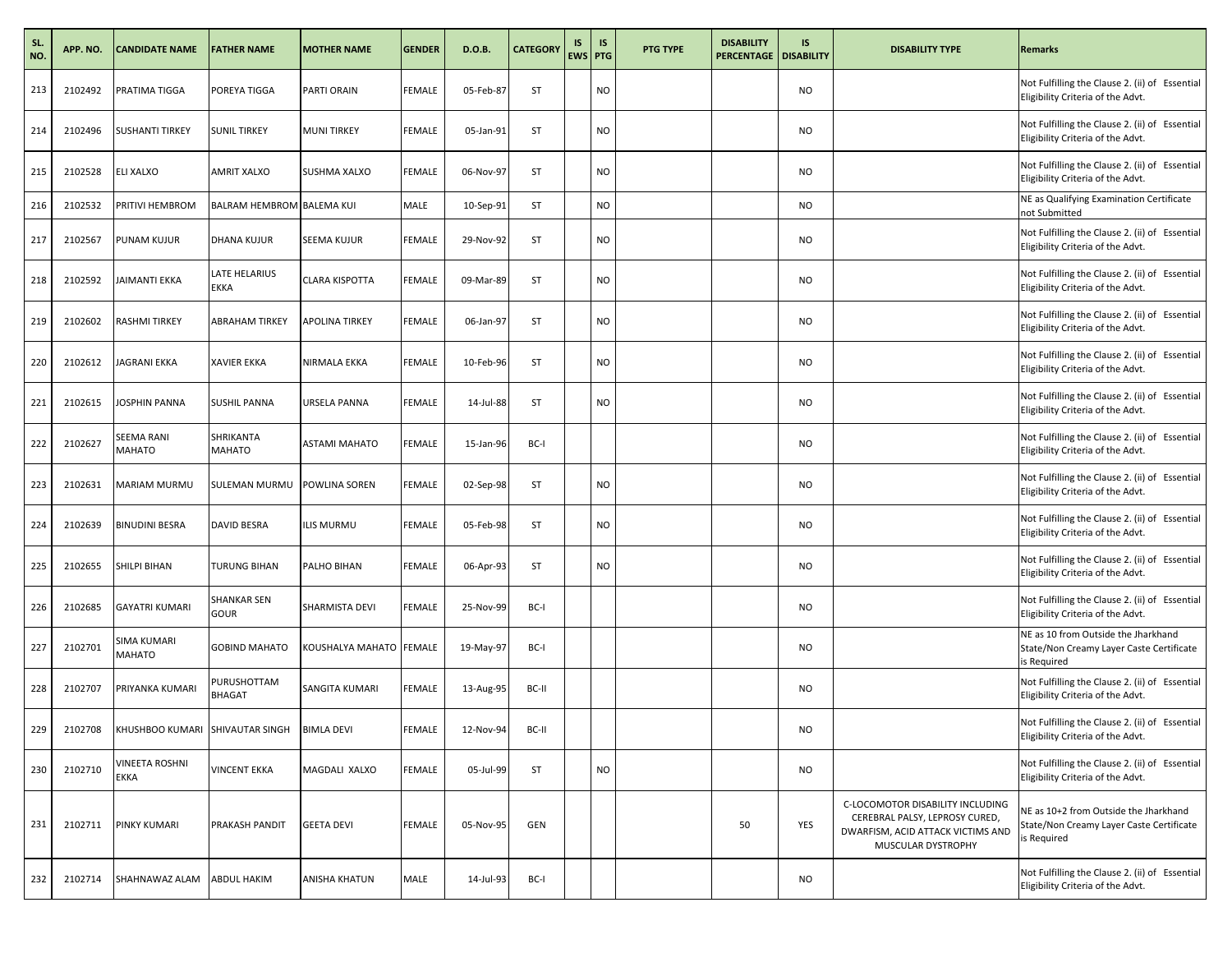| SL.<br>NO. | APP. NO. | <b>CANDIDATE NAME</b>                      | <b>FATHER NAME</b>               | <b>MOTHER NAME</b>             | <b>GENDER</b> | D.O.B.    | <b>CATEGORY</b> | IS<br>EWS PTG | <b>IS</b> | PTG TYPE | <b>DISABILITY</b><br><b>PERCENTAGE</b> | IS<br><b>DISABILITY</b> | <b>DISABILITY TYPE</b>                                                                                                        | <b>Remarks</b>                                                                                   |
|------------|----------|--------------------------------------------|----------------------------------|--------------------------------|---------------|-----------|-----------------|---------------|-----------|----------|----------------------------------------|-------------------------|-------------------------------------------------------------------------------------------------------------------------------|--------------------------------------------------------------------------------------------------|
| 213        | 2102492  | PRATIMA TIGGA                              | POREYA TIGGA                     | PARTI ORAIN                    | <b>FEMALE</b> | 05-Feb-87 | ST              |               | <b>NO</b> |          |                                        | <b>NO</b>               |                                                                                                                               | Not Fulfilling the Clause 2. (ii) of Essential<br>Eligibility Criteria of the Advt.              |
| 214        | 2102496  | <b>SUSHANTI TIRKEY</b>                     | <b>SUNIL TIRKEY</b>              | <b>MUNI TIRKEY</b>             | <b>FEMALE</b> | 05-Jan-91 | <b>ST</b>       |               | <b>NO</b> |          |                                        | NO                      |                                                                                                                               | Not Fulfilling the Clause 2. (ii) of Essential<br>Eligibility Criteria of the Advt.              |
| 215        | 2102528  | ELI XALXO                                  | AMRIT XALXO                      | SUSHMA XALXO                   | <b>FEMALE</b> | 06-Nov-97 | ST              |               | <b>NO</b> |          |                                        | NO.                     |                                                                                                                               | Not Fulfilling the Clause 2. (ii) of Essential<br>Eligibility Criteria of the Advt.              |
| 216        | 2102532  | PRITIVI HEMBROM                            | <b>BALRAM HEMBROM BALEMA KUI</b> |                                | MALE          | 10-Sep-91 | <b>ST</b>       |               | <b>NO</b> |          |                                        | NO                      |                                                                                                                               | NE as Qualifying Examination Certificate<br>not Submitted                                        |
| 217        | 2102567  | PUNAM KUJUR                                | DHANA KUJUR                      | SEEMA KUJUR                    | <b>FEMALE</b> | 29-Nov-92 | ST              |               | <b>NO</b> |          |                                        | <b>NO</b>               |                                                                                                                               | Not Fulfilling the Clause 2. (ii) of Essential<br>Eligibility Criteria of the Advt.              |
| 218        | 2102592  | JAIMANTI EKKA                              | LATE HELARIUS<br><b>EKKA</b>     | <b>CLARA KISPOTTA</b>          | <b>FEMALE</b> | 09-Mar-89 | <b>ST</b>       |               | <b>NO</b> |          |                                        | NO                      |                                                                                                                               | Not Fulfilling the Clause 2. (ii) of Essential<br>Eligibility Criteria of the Advt.              |
| 219        | 2102602  | RASHMI TIRKEY                              | ABRAHAM TIRKEY                   | APOLINA TIRKEY                 | <b>FEMALE</b> | 06-Jan-97 | ST              |               | <b>NO</b> |          |                                        | <b>NO</b>               |                                                                                                                               | Not Fulfilling the Clause 2. (ii) of Essential<br>Eligibility Criteria of the Advt.              |
| 220        | 2102612  | <b>JAGRANI EKKA</b>                        | <b>XAVIER EKKA</b>               | NIRMALA EKKA                   | <b>FEMALE</b> | 10-Feb-96 | <b>ST</b>       |               | <b>NO</b> |          |                                        | <b>NO</b>               |                                                                                                                               | Not Fulfilling the Clause 2. (ii) of Essential<br>Eligibility Criteria of the Advt.              |
| 221        | 2102615  | JOSPHIN PANNA                              | <b>SUSHIL PANNA</b>              | URSELA PANNA                   | <b>FEMALE</b> | 14-Jul-88 | ST              |               | <b>NO</b> |          |                                        | NO.                     |                                                                                                                               | Not Fulfilling the Clause 2. (ii) of Essential<br>Eligibility Criteria of the Advt.              |
| 222        | 2102627  | SEEMA RANI<br>MAHATO                       | SHRIKANTA<br>MAHATO              | <b>ASTAMI MAHATO</b>           | <b>FEMALE</b> | 15-Jan-96 | BC-I            |               |           |          |                                        | NO                      |                                                                                                                               | Not Fulfilling the Clause 2. (ii) of Essential<br>Eligibility Criteria of the Advt.              |
| 223        | 2102631  | MARIAM MURMU                               | SULEMAN MURMU                    | POWLINA SOREN                  | <b>FEMALE</b> | 02-Sep-98 | ST              |               | <b>NO</b> |          |                                        | NO                      |                                                                                                                               | Not Fulfilling the Clause 2. (ii) of Essential<br>Eligibility Criteria of the Advt.              |
| 224        | 2102639  | <b>BINUDINI BESRA</b>                      | <b>DAVID BESRA</b>               | LIS MURMU                      | <b>FEMALE</b> | 05-Feb-98 | <b>ST</b>       |               | <b>NO</b> |          |                                        | NO.                     |                                                                                                                               | Not Fulfilling the Clause 2. (ii) of Essential<br>Eligibility Criteria of the Advt.              |
| 225        | 2102655  | SHILPI BIHAN                               | TURUNG BIHAN                     | PALHO BIHAN                    | <b>FEMALE</b> | 06-Apr-93 | ST              |               | <b>NO</b> |          |                                        | <b>NO</b>               |                                                                                                                               | Not Fulfilling the Clause 2. (ii) of Essential<br>Eligibility Criteria of the Advt.              |
| 226        | 2102685  | <b>GAYATRI KUMARI</b>                      | SHANKAR SEN<br>GOUR              | SHARMISTA DEVI                 | <b>FEMALE</b> | 25-Nov-99 | BC-I            |               |           |          |                                        | NO                      |                                                                                                                               | Not Fulfilling the Clause 2. (ii) of Essential<br>Eligibility Criteria of the Advt.              |
| 227        | 2102701  | SIMA KUMARI<br><b>MAHATO</b>               | <b>GOBIND MAHATO</b>             | <b>COUSHALYA MAHATO FEMALE</b> |               | 19-May-97 | BC-I            |               |           |          |                                        | NO.                     |                                                                                                                               | NE as 10 from Outside the Jharkhand<br>State/Non Creamy Layer Caste Certificate<br>is Required   |
| 228        | 2102707  | PRIYANKA KUMARI                            | PURUSHOTTAM<br>BHAGAT            | SANGITA KUMARI                 | <b>FEMALE</b> | 13-Aug-95 | BC-II           |               |           |          |                                        | NO.                     |                                                                                                                               | Not Fulfilling the Clause 2. (ii) of Essential<br>Eligibility Criteria of the Advt.              |
| 229        | 2102708  | KHUSHBOO KUMARI SHIVAUTAR SINGH BIMLA DEVI |                                  |                                | FEMALE        | 12-Nov-94 | BC-II           |               |           |          |                                        | <b>NO</b>               |                                                                                                                               | Not Fulfilling the Clause 2. (ii) of Essential<br>Eligibility Criteria of the Advt.              |
| 230        | 2102710  | VINEETA ROSHNI<br>EKKA                     | <b>VINCENT EKKA</b>              | MAGDALI XALXO                  | <b>FEMALE</b> | 05-Jul-99 | ST              |               | <b>NO</b> |          |                                        | <b>NO</b>               |                                                                                                                               | Not Fulfilling the Clause 2. (ii) of Essential<br>Eligibility Criteria of the Advt.              |
| 231        | 2102711  | PINKY KUMARI                               | PRAKASH PANDIT                   | <b>GEETA DEVI</b>              | <b>FEMALE</b> | 05-Nov-95 | GEN             |               |           |          | 50                                     | YES                     | C-LOCOMOTOR DISABILITY INCLUDING<br>CEREBRAL PALSY, LEPROSY CURED,<br>DWARFISM, ACID ATTACK VICTIMS AND<br>MUSCULAR DYSTROPHY | NE as 10+2 from Outside the Jharkhand<br>State/Non Creamy Layer Caste Certificate<br>is Required |
| 232        | 2102714  | SHAHNAWAZ ALAM                             | <b>ABDUL HAKIM</b>               | ANISHA KHATUN                  | MALE          | 14-Jul-93 | BC-I            |               |           |          |                                        | NO                      |                                                                                                                               | Not Fulfilling the Clause 2. (ii) of Essential<br>Eligibility Criteria of the Advt.              |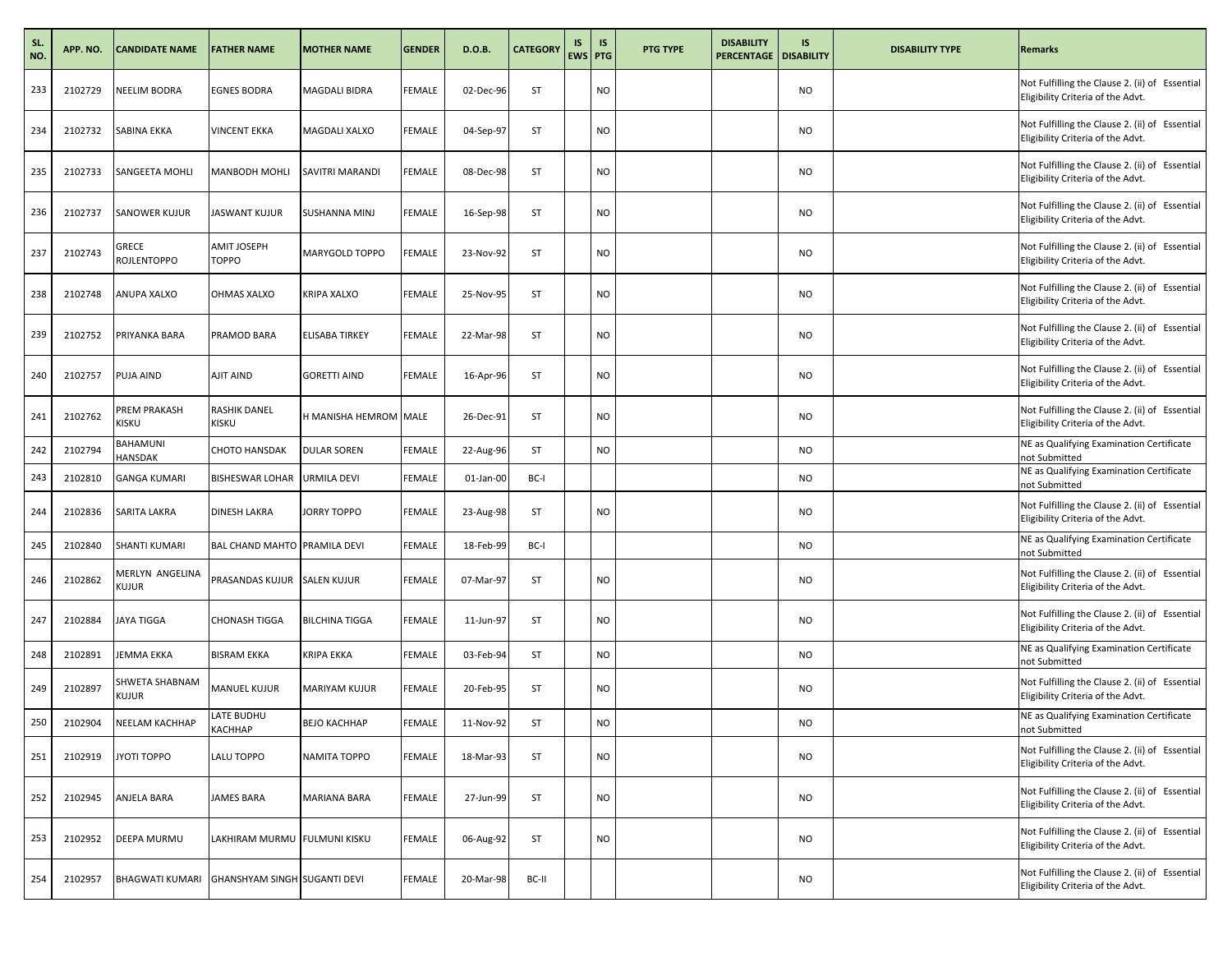| SL.<br>NO. | APP. NO. | <b>CANDIDATE NAME</b>    | <b>FATHER NAME</b>           | <b>MOTHER NAME</b>    | <b>GENDER</b> | D.O.B.    | <b>CATEGORY</b> | IS<br>EWS PTG | IS        | PTG TYPE | <b>DISABILITY</b><br><b>PERCENTAGE</b> | IS<br><b>DISABILITY</b> | <b>DISABILITY TYPE</b> | <b>Remarks</b>                                                                      |
|------------|----------|--------------------------|------------------------------|-----------------------|---------------|-----------|-----------------|---------------|-----------|----------|----------------------------------------|-------------------------|------------------------|-------------------------------------------------------------------------------------|
| 233        | 2102729  | NEELIM BODRA             | <b>EGNES BODRA</b>           | MAGDALI BIDRA         | <b>FEMALE</b> | 02-Dec-96 | ST              |               | <b>NO</b> |          |                                        | NO.                     |                        | Not Fulfilling the Clause 2. (ii) of Essential<br>Eligibility Criteria of the Advt. |
| 234        | 2102732  | SABINA EKKA              | <b>VINCENT EKKA</b>          | MAGDALI XALXO         | <b>FEMALE</b> | 04-Sep-97 | ST              |               | <b>NO</b> |          |                                        | NO                      |                        | Not Fulfilling the Clause 2. (ii) of Essential<br>Eligibility Criteria of the Advt. |
| 235        | 2102733  | SANGEETA MOHLI           | MANBODH MOHLI                | SAVITRI MARANDI       | <b>FEMALE</b> | 08-Dec-98 | ST              |               | <b>NO</b> |          |                                        | NO.                     |                        | Not Fulfilling the Clause 2. (ii) of Essential<br>Eligibility Criteria of the Advt. |
| 236        | 2102737  | SANOWER KUJUR            | JASWANT KUJUR                | SUSHANNA MINJ         | <b>FEMALE</b> | 16-Sep-98 | ST              |               | NO        |          |                                        | <b>NO</b>               |                        | Not Fulfilling the Clause 2. (ii) of Essential<br>Eligibility Criteria of the Advt. |
| 237        | 2102743  | GRECE<br>ROJLENTOPPO     | AMIT JOSEPH<br><b>TOPPO</b>  | MARYGOLD TOPPO        | <b>FEMALE</b> | 23-Nov-92 | ST              |               | <b>NO</b> |          |                                        | NO                      |                        | Not Fulfilling the Clause 2. (ii) of Essential<br>Eligibility Criteria of the Advt. |
| 238        | 2102748  | ANUPA XALXO              | OHMAS XALXO                  | KRIPA XALXO           | <b>FEMALE</b> | 25-Nov-95 | ST              |               | <b>NO</b> |          |                                        | <b>NO</b>               |                        | Not Fulfilling the Clause 2. (ii) of Essential<br>Eligibility Criteria of the Advt. |
| 239        | 2102752  | PRIYANKA BARA            | PRAMOD BARA                  | ELISABA TIRKEY        | <b>FEMALE</b> | 22-Mar-98 | ST              |               | <b>NO</b> |          |                                        | <b>NO</b>               |                        | Not Fulfilling the Clause 2. (ii) of Essential<br>Eligibility Criteria of the Advt. |
| 240        | 2102757  | PUJA AIND                | AJIT AIND                    | <b>GORETTI AIND</b>   | <b>FEMALE</b> | 16-Apr-96 | ST              |               | <b>NO</b> |          |                                        | NO.                     |                        | Not Fulfilling the Clause 2. (ii) of Essential<br>Eligibility Criteria of the Advt. |
| 241        | 2102762  | PREM PRAKASH<br>KISKU    | RASHIK DANEL<br>KISKU        | H MANISHA HEMROM MALE |               | 26-Dec-91 | <b>ST</b>       |               | <b>NO</b> |          |                                        | NO                      |                        | Not Fulfilling the Clause 2. (ii) of Essential<br>Eligibility Criteria of the Advt. |
| 242        | 2102794  | BAHAMUNI<br>HANSDAK      | CHOTO HANSDAK                | <b>DULAR SOREN</b>    | <b>FEMALE</b> | 22-Aug-96 | ST              |               | <b>NO</b> |          |                                        | NO.                     |                        | NE as Qualifying Examination Certificate<br>not Submitted                           |
| 243        | 2102810  | <b>GANGA KUMARI</b>      | <b>BISHESWAR LOHAR</b>       | <b>URMILA DEVI</b>    | <b>FEMALE</b> | 01-Jan-00 | BC-I            |               |           |          |                                        | NO                      |                        | NE as Qualifying Examination Certificate<br>not Submitted                           |
| 244        | 2102836  | SARITA LAKRA             | <b>DINESH LAKRA</b>          | JORRY TOPPO           | <b>FEMALE</b> | 23-Aug-98 | ST              |               | <b>NO</b> |          |                                        | NO.                     |                        | Not Fulfilling the Clause 2. (ii) of Essential<br>Eligibility Criteria of the Advt. |
| 245        | 2102840  | SHANTI KUMARI            | BAL CHAND MAHTO PRAMILA DEVI |                       | <b>FEMALE</b> | 18-Feb-99 | BC-I            |               |           |          |                                        | <b>NO</b>               |                        | NE as Qualifying Examination Certificate<br>not Submitted                           |
| 246        | 2102862  | MERLYN ANGELINA<br>Kujur | PRASANDAS KUJUR SALEN KUJUR  |                       | <b>FEMALE</b> | 07-Mar-97 | <b>ST</b>       |               | <b>NO</b> |          |                                        | NO                      |                        | Not Fulfilling the Clause 2. (ii) of Essential<br>Eligibility Criteria of the Advt. |
| 247        | 2102884  | JAYA TIGGA               | CHONASH TIGGA                | <b>BILCHINA TIGGA</b> | <b>FEMALE</b> | 11-Jun-97 | ST              |               | <b>NO</b> |          |                                        | <b>NO</b>               |                        | Not Fulfilling the Clause 2. (ii) of Essential<br>Eligibility Criteria of the Advt. |
| 248        | 2102891  | JEMMA EKKA               | <b>BISRAM EKKA</b>           | KRIPA EKKA            | <b>FEMALE</b> | 03-Feb-94 | ST              |               | <b>NO</b> |          |                                        | NO                      |                        | NE as Qualifying Examination Certificate<br>not Submitted                           |
| 249        | 2102897  | SHWETA SHABNAM<br>Kujur  | <b>MANUEL KUJUR</b>          | MARIYAM KUJUR         | <b>FEMALE</b> | 20-Feb-95 | ST              |               | <b>NO</b> |          |                                        | NO                      |                        | Not Fulfilling the Clause 2. (ii) of Essential<br>Eligibility Criteria of the Advt. |
| 250        | 2102904  | NEELAM KACHHAP           | LATE BUDHU<br>КАСННАР        | ВЕЈО КАСННАР          | <b>FEMALE</b> | 11-Nov-92 | ST              |               | <b>NO</b> |          |                                        | <b>NO</b>               |                        | NE as Qualifying Examination Certificate<br>not Submitted                           |
| 251        | 2102919  | JYOTI TOPPO              | LALU TOPPO                   | NAMITA TOPPO          | <b>FEMALE</b> | 18-Mar-93 | ST              |               | <b>NO</b> |          |                                        | NO                      |                        | Not Fulfilling the Clause 2. (ii) of Essential<br>Eligibility Criteria of the Advt. |
| 252        | 2102945  | ANJELA BARA              | JAMES BARA                   | MARIANA BARA          | <b>FEMALE</b> | 27-Jun-99 | ST              |               | <b>NO</b> |          |                                        | NO.                     |                        | Not Fulfilling the Clause 2. (ii) of Essential<br>Eligibility Criteria of the Advt. |
| 253        | 2102952  | DEEPA MURMU              | LAKHIRAM MURMU FULMUNI KISKU |                       | <b>FEMALE</b> | 06-Aug-92 | ST              |               | NO        |          |                                        | NO                      |                        | Not Fulfilling the Clause 2. (ii) of Essential<br>Eligibility Criteria of the Advt. |
| 254        | 2102957  | <b>BHAGWATI KUMARI</b>   | GHANSHYAM SINGH SUGANTI DEVI |                       | <b>FEMALE</b> | 20-Mar-98 | BC-II           |               |           |          |                                        | NO                      |                        | Not Fulfilling the Clause 2. (ii) of Essential<br>Eligibility Criteria of the Advt. |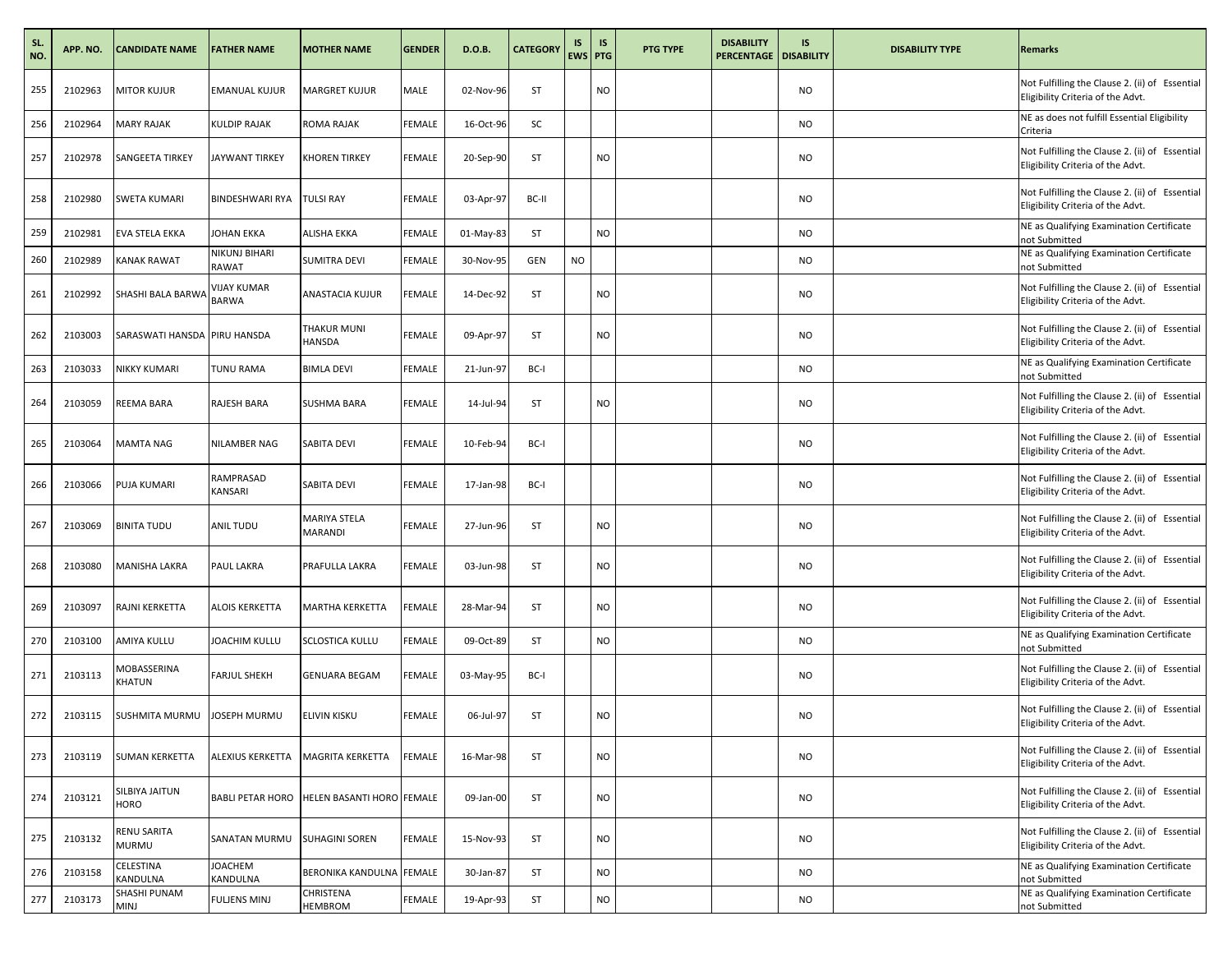| SL.<br>NO. | APP. NO. | <b>CANDIDATE NAME</b>       | <b>FATHER NAME</b>                 | <b>MOTHER NAME</b>                         | <b>GENDER</b> | D.O.B.    | <b>CATEGORY</b> | IS        | <b>IS</b><br><b>EWS PTG</b> | <b>PTG TYPE</b> | <b>DISABILITY</b><br><b>PERCENTAGE   DISABILITY</b> | IS        | <b>DISABILITY TYPE</b> | <b>Remarks</b>                                                                      |
|------------|----------|-----------------------------|------------------------------------|--------------------------------------------|---------------|-----------|-----------------|-----------|-----------------------------|-----------------|-----------------------------------------------------|-----------|------------------------|-------------------------------------------------------------------------------------|
| 255        | 2102963  | MITOR KUJUR                 | <b>EMANUAL KUJUR</b>               | <b>MARGRET KUJUR</b>                       | MALE          | 02-Nov-96 | ST              |           | NO                          |                 |                                                     | <b>NO</b> |                        | Not Fulfilling the Clause 2. (ii) of Essential<br>Eligibility Criteria of the Advt. |
| 256        | 2102964  | <b>MARY RAJAK</b>           | KULDIP RAJAK                       | ROMA RAJAK                                 | <b>FEMALE</b> | 16-Oct-96 | SC              |           |                             |                 |                                                     | <b>NO</b> |                        | NE as does not fulfill Essential Eligibility<br>Criteria                            |
| 257        | 2102978  | SANGEETA TIRKEY             | <b>JAYWANT TIRKEY</b>              | <b>KHOREN TIRKEY</b>                       | FEMALE        | 20-Sep-90 | ST              |           | NO.                         |                 |                                                     | <b>NO</b> |                        | Not Fulfilling the Clause 2. (ii) of Essential<br>Eligibility Criteria of the Advt. |
| 258        | 2102980  | SWETA KUMARI                | BINDESHWARI RYA                    | <b>TULSI RAY</b>                           | <b>FEMALE</b> | 03-Apr-97 | BC-II           |           |                             |                 |                                                     | <b>NO</b> |                        | Not Fulfilling the Clause 2. (ii) of Essential<br>Eligibility Criteria of the Advt. |
| 259        | 2102981  | EVA STELA EKKA              | JOHAN EKKA                         | <b>ALISHA EKKA</b>                         | <b>FEMALE</b> | 01-May-83 | ST              |           | NO                          |                 |                                                     | <b>NO</b> |                        | NE as Qualifying Examination Certificate<br>not Submitted                           |
| 260        | 2102989  | KANAK RAWAT                 | NIKUNJ BIHARI<br>RAWAT             | SUMITRA DEVI                               | FEMALE        | 30-Nov-95 | GEN             | <b>NO</b> |                             |                 |                                                     | <b>NO</b> |                        | NE as Qualifying Examination Certificate<br>not Submitted                           |
| 261        | 2102992  | SHASHI BALA BARWA           | <b>VIJAY KUMAR</b><br><b>BARWA</b> | ANASTACIA KUJUR                            | <b>FEMALE</b> | 14-Dec-92 | ST              |           | NO                          |                 |                                                     | <b>NO</b> |                        | Not Fulfilling the Clause 2. (ii) of Essential<br>Eligibility Criteria of the Advt. |
| 262        | 2103003  | SARASWATI HANSDA            | <b>PIRU HANSDA</b>                 | THAKUR MUNI<br>HANSDA                      | FEMALE        | 09-Apr-97 | <b>ST</b>       |           | NO.                         |                 |                                                     | <b>NO</b> |                        | Not Fulfilling the Clause 2. (ii) of Essential<br>Eligibility Criteria of the Advt. |
| 263        | 2103033  | NIKKY KUMARI                | TUNU RAMA                          | <b>BIMLA DEVI</b>                          | <b>FEMALE</b> | 21-Jun-97 | BC-I            |           |                             |                 |                                                     | <b>NO</b> |                        | NE as Qualifying Examination Certificate<br>not Submitted                           |
| 264        | 2103059  | REEMA BARA                  | RAJESH BARA                        | SUSHMA BARA                                | FEMALE        | 14-Jul-94 | ST              |           | NO.                         |                 |                                                     | <b>NO</b> |                        | Not Fulfilling the Clause 2. (ii) of Essential<br>Eligibility Criteria of the Advt. |
| 265        | 2103064  | MAMTA NAG                   | NILAMBER NAG                       | SABITA DEVI                                | <b>FEMALE</b> | 10-Feb-94 | BC-I            |           |                             |                 |                                                     | <b>NO</b> |                        | Not Fulfilling the Clause 2. (ii) of Essential<br>Eligibility Criteria of the Advt. |
| 266        | 2103066  | PUJA KUMARI                 | RAMPRASAD<br>KANSARI               | SABITA DEVI                                | FEMALE        | 17-Jan-98 | BC-I            |           |                             |                 |                                                     | <b>NO</b> |                        | Not Fulfilling the Clause 2. (ii) of Essential<br>Eligibility Criteria of the Advt. |
| 267        | 2103069  | <b>BINITA TUDU</b>          | ANIL TUDU                          | MARIYA STELA<br><b>MARANDI</b>             | <b>FEMALE</b> | 27-Jun-96 | ST              |           | NO                          |                 |                                                     | <b>NO</b> |                        | Not Fulfilling the Clause 2. (ii) of Essential<br>Eligibility Criteria of the Advt. |
| 268        | 2103080  | MANISHA LAKRA               | PAUL LAKRA                         | PRAFULLA LAKRA                             | FEMALE        | 03-Jun-98 | ST              |           | NO.                         |                 |                                                     | <b>NO</b> |                        | Not Fulfilling the Clause 2. (ii) of Essential<br>Eligibility Criteria of the Advt. |
| 269        | 2103097  | RAJNI KERKETTA              | ALOIS KERKETTA                     | <b>MARTHA KERKETTA</b>                     | FEMALE        | 28-Mar-94 | ST              |           | NO                          |                 |                                                     | <b>NO</b> |                        | Not Fulfilling the Clause 2. (ii) of Essential<br>Eligibility Criteria of the Advt. |
| 270        | 2103100  | AMIYA KULLU                 | JOACHIM KULLU                      | <b>SCLOSTICA KULLU</b>                     | FEMALE        | 09-Oct-89 | ST              |           | NO                          |                 |                                                     | <b>NO</b> |                        | NE as Qualifying Examination Certificate<br>not Submitted                           |
| 271        | 2103113  | MOBASSERINA<br>KHATUN       | FARJUL SHEKH                       | <b>GENUARA BEGAM</b>                       | FEMALE        | 03-May-95 | BC-I            |           |                             |                 |                                                     | <b>NO</b> |                        | Not Fulfilling the Clause 2. (ii) of Essential<br>Eligibility Criteria of the Advt. |
| 272        | 2103115  | SUSHMITA MURMU              | JOSEPH MURMU                       | ELIVIN KISKU                               | FEMALE        | 06-Jul-97 | ST              |           | ΝO                          |                 |                                                     | <b>NO</b> |                        | Not Fulfilling the Clause 2. (ii) of Essential<br>Eligibility Criteria of the Advt. |
| 273        | 2103119  | SUMAN KERKETTA              | ALEXIUS KERKETTA                   | <b>MAGRITA KERKETTA</b>                    | FEMALE        | 16-Mar-98 | ST              |           | NO                          |                 |                                                     | <b>NO</b> |                        | Not Fulfilling the Clause 2. (ii) of Essential<br>Eligibility Criteria of the Advt. |
| 274        | 2103121  | SILBIYA JAITUN<br>HORO      |                                    | BABLI PETAR HORO HELEN BASANTI HORO FEMALE |               | 09-Jan-00 | ST              |           | NO.                         |                 |                                                     | <b>NO</b> |                        | Not Fulfilling the Clause 2. (ii) of Essential<br>Eligibility Criteria of the Advt. |
| 275        | 2103132  | RENU SARITA<br>MURMU        | SANATAN MURMU                      | SUHAGINI SOREN                             | FEMALE        | 15-Nov-93 | ST              |           | NO                          |                 |                                                     | <b>NO</b> |                        | Not Fulfilling the Clause 2. (ii) of Essential<br>Eligibility Criteria of the Advt. |
| 276        | 2103158  | CELESTINA<br>KANDULNA       | <b>JOACHEM</b><br>KANDULNA         | BERONIKA KANDULNA FEMALE                   |               | 30-Jan-87 | ST              |           | <b>NO</b>                   |                 |                                                     | <b>NO</b> |                        | NE as Qualifying Examination Certificate<br>not Submitted                           |
| 277        | 2103173  | SHASHI PUNAM<br><b>MINJ</b> | <b>FULJENS MINJ</b>                | CHRISTENA<br>HEMBROM                       | FEMALE        | 19-Apr-93 | ST              |           | NO.                         |                 |                                                     | <b>NO</b> |                        | NE as Qualifying Examination Certificate<br>not Submitted                           |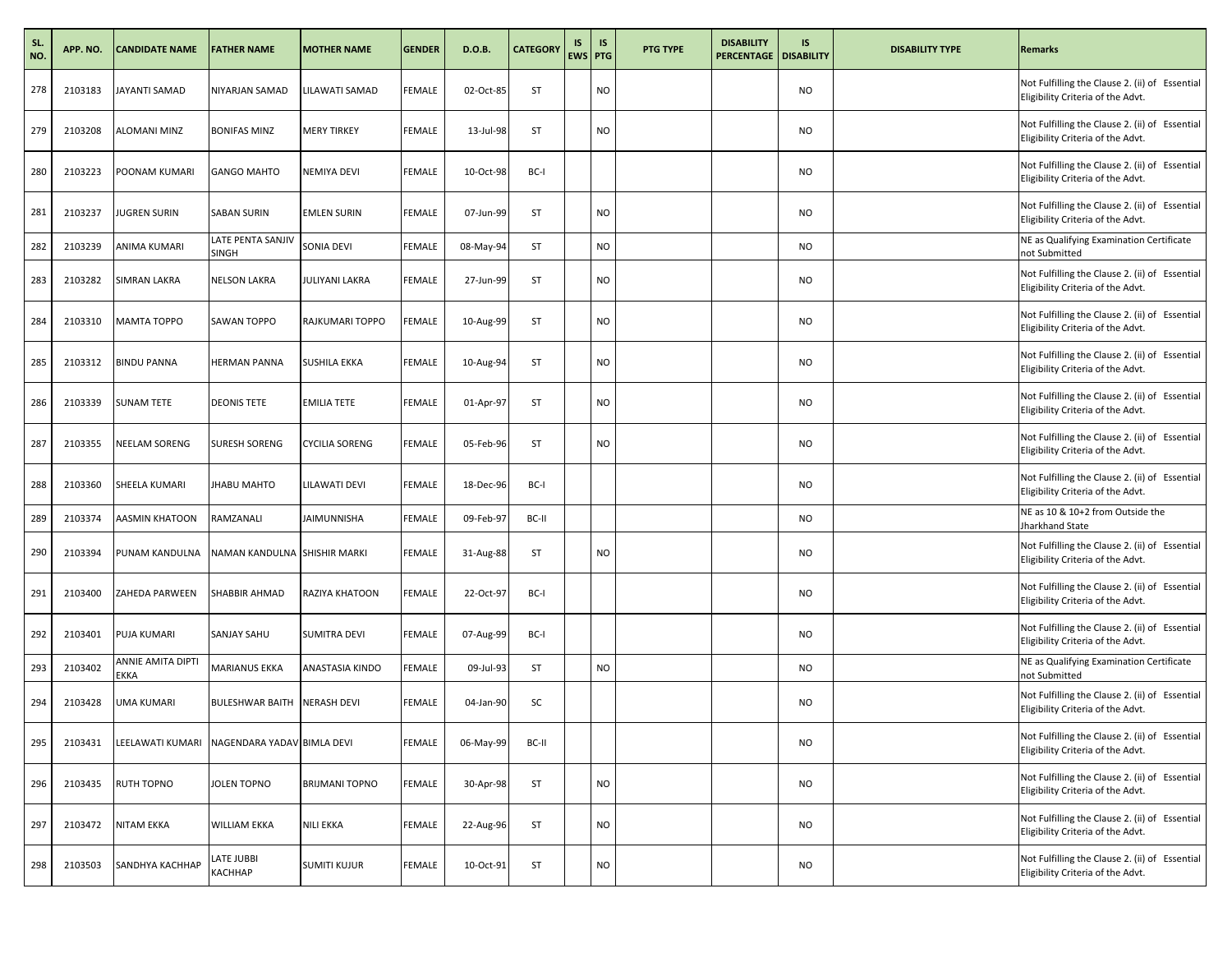| SL.<br>NO. | APP. NO. | <b>CANDIDATE NAME</b>     | <b>FATHER NAME</b>                | <b>MOTHER NAME</b>    | <b>GENDER</b> | D.O.B.    | <b>CATEGORY</b> | IS<br>EWS PTG | <b>IS</b> | <b>PTG TYPE</b> | <b>DISABILITY</b><br><b>PERCENTAGE   DISABILITY</b> | IS        | <b>DISABILITY TYPE</b> | <b>Remarks</b>                                                                      |
|------------|----------|---------------------------|-----------------------------------|-----------------------|---------------|-----------|-----------------|---------------|-----------|-----------------|-----------------------------------------------------|-----------|------------------------|-------------------------------------------------------------------------------------|
| 278        | 2103183  | <b>JAYANTI SAMAD</b>      | NIYARJAN SAMAD                    | LILAWATI SAMAD        | FEMALE        | 02-Oct-85 | ST              |               | <b>NO</b> |                 |                                                     | <b>NO</b> |                        | Not Fulfilling the Clause 2. (ii) of Essential<br>Eligibility Criteria of the Advt. |
| 279        | 2103208  | <b>ALOMANI MINZ</b>       | <b>BONIFAS MINZ</b>               | <b>MERY TIRKEY</b>    | <b>FEMALE</b> | 13-Jul-98 | ST              |               | <b>NO</b> |                 |                                                     | <b>NO</b> |                        | Not Fulfilling the Clause 2. (ii) of Essential<br>Eligibility Criteria of the Advt. |
| 280        | 2103223  | POONAM KUMARI             | <b>GANGO MAHTO</b>                | <b>NEMIYA DEVI</b>    | FEMALE        | 10-Oct-98 | BC-I            |               |           |                 |                                                     | <b>NO</b> |                        | Not Fulfilling the Clause 2. (ii) of Essential<br>Eligibility Criteria of the Advt. |
| 281        | 2103237  | <b>JUGREN SURIN</b>       | SABAN SURIN                       | <b>EMLEN SURIN</b>    | FEMALE        | 07-Jun-99 | ST              |               | NO        |                 |                                                     | <b>NO</b> |                        | Not Fulfilling the Clause 2. (ii) of Essential<br>Eligibility Criteria of the Advt. |
| 282        | 2103239  | ANIMA KUMARI              | LATE PENTA SANJIV<br><b>SINGH</b> | SONIA DEVI            | FEMALE        | 08-May-94 | ST              |               | NO        |                 |                                                     | <b>NO</b> |                        | NE as Qualifying Examination Certificate<br>not Submitted                           |
| 283        | 2103282  | <b>SIMRAN LAKRA</b>       | <b>NELSON LAKRA</b>               | JULIYANI LAKRA        | FEMALE        | 27-Jun-99 | ST              |               | <b>NO</b> |                 |                                                     | <b>NO</b> |                        | Not Fulfilling the Clause 2. (ii) of Essential<br>Eligibility Criteria of the Advt. |
| 284        | 2103310  | <b>MAMTA TOPPO</b>        | SAWAN TOPPO                       | RAJKUMARI TOPPO       | FEMALE        | 10-Aug-99 | ST              |               | NO        |                 |                                                     | <b>NO</b> |                        | Not Fulfilling the Clause 2. (ii) of Essential<br>Eligibility Criteria of the Advt. |
| 285        | 2103312  | <b>BINDU PANNA</b>        | <b>HERMAN PANNA</b>               | <b>SUSHILA EKKA</b>   | FEMALE        | 10-Aug-94 | ST              |               | NO        |                 |                                                     | <b>NO</b> |                        | Not Fulfilling the Clause 2. (ii) of Essential<br>Eligibility Criteria of the Advt. |
| 286        | 2103339  | <b>SUNAM TETE</b>         | <b>DEONIS TETE</b>                | <b>EMILIA TETE</b>    | <b>FEMALE</b> | 01-Apr-97 | ST              |               | <b>NO</b> |                 |                                                     | <b>NO</b> |                        | Not Fulfilling the Clause 2. (ii) of Essential<br>Eligibility Criteria of the Advt. |
| 287        | 2103355  | NEELAM SORENG             | SURESH SORENG                     | <b>CYCILIA SORENG</b> | FEMALE        | 05-Feb-96 | ST              |               | NO        |                 |                                                     | <b>NO</b> |                        | Not Fulfilling the Clause 2. (ii) of Essential<br>Eligibility Criteria of the Advt. |
| 288        | 2103360  | SHEELA KUMARI             | JHABU MAHTO                       | LILAWATI DEVI         | FEMALE        | 18-Dec-96 | BC-I            |               |           |                 |                                                     | <b>NO</b> |                        | Not Fulfilling the Clause 2. (ii) of Essential<br>Eligibility Criteria of the Advt. |
| 289        | 2103374  | AASMIN KHATOON            | RAMZANALI                         | JAIMUNNISHA           | FEMALE        | 09-Feb-97 | BC-II           |               |           |                 |                                                     | <b>NO</b> |                        | NE as 10 & 10+2 from Outside the<br>Jharkhand State                                 |
| 290        | 2103394  | PUNAM KANDULNA            | NAMAN KANDULNA SHISHIR MARKI      |                       | <b>FEMALE</b> | 31-Aug-88 | ST              |               | <b>NO</b> |                 |                                                     | <b>NO</b> |                        | Not Fulfilling the Clause 2. (ii) of Essential<br>Eligibility Criteria of the Advt. |
| 291        | 2103400  | ZAHEDA PARWEEN            | SHABBIR AHMAD                     | RAZIYA KHATOON        | FEMALE        | 22-Oct-97 | BC-I            |               |           |                 |                                                     | <b>NO</b> |                        | Not Fulfilling the Clause 2. (ii) of Essential<br>Eligibility Criteria of the Advt. |
| 292        | 2103401  | <b>PUJA KUMARI</b>        | SANJAY SAHU                       | <b>SUMITRA DEVI</b>   | FEMALE        | 07-Aug-99 | BC-I            |               |           |                 |                                                     | <b>NO</b> |                        | Not Fulfilling the Clause 2. (ii) of Essential<br>Eligibility Criteria of the Advt. |
| 293        | 2103402  | ANNIE AMITA DIPTI<br>EKKA | MARIANUS EKKA                     | ANASTASIA KINDO       | FEMALE        | 09-Jul-93 | ST              |               | NO        |                 |                                                     | <b>NO</b> |                        | NE as Qualifying Examination Certificate<br>not Submitted                           |
| 294        | 2103428  | <b>UMA KUMARI</b>         | BULESHWAR BAITH NERASH DEVI       |                       | FEMALE        | 04-Jan-90 | SC              |               |           |                 |                                                     | <b>NO</b> |                        | Not Fulfilling the Clause 2. (ii) of Essential<br>Eligibility Criteria of the Advt. |
| 295        | 2103431  | LEELAWATI KUMARI          | NAGENDARA YADAV BIMLA DEVI        |                       | <b>FEMALE</b> | 06-May-99 | BC-II           |               |           |                 |                                                     | <b>NO</b> |                        | Not Fulfilling the Clause 2. (ii) of Essential<br>Eligibility Criteria of the Advt. |
| 296        | 2103435  | <b>RUTH TOPNO</b>         | JOLEN TOPNO                       | <b>BRIJMANI TOPNO</b> | FEMALE        | 30-Apr-98 | ST              |               | NO        |                 |                                                     | <b>NO</b> |                        | Not Fulfilling the Clause 2. (ii) of Essential<br>Eligibility Criteria of the Advt. |
| 297        | 2103472  | <b>NITAM EKKA</b>         | WILLIAM EKKA                      | <b>NILI EKKA</b>      | <b>FEMALE</b> | 22-Aug-96 | ST              |               | NO        |                 |                                                     | <b>NO</b> |                        | Not Fulfilling the Clause 2. (ii) of Essential<br>Eligibility Criteria of the Advt. |
| 298        | 2103503  | SANDHYA KACHHAP           | LATE JUBBI<br>КАСННАР             | <b>SUMITI KUJUR</b>   | <b>FEMALE</b> | 10-Oct-91 | ST              |               | NO        |                 |                                                     | <b>NO</b> |                        | Not Fulfilling the Clause 2. (ii) of Essential<br>Eligibility Criteria of the Advt. |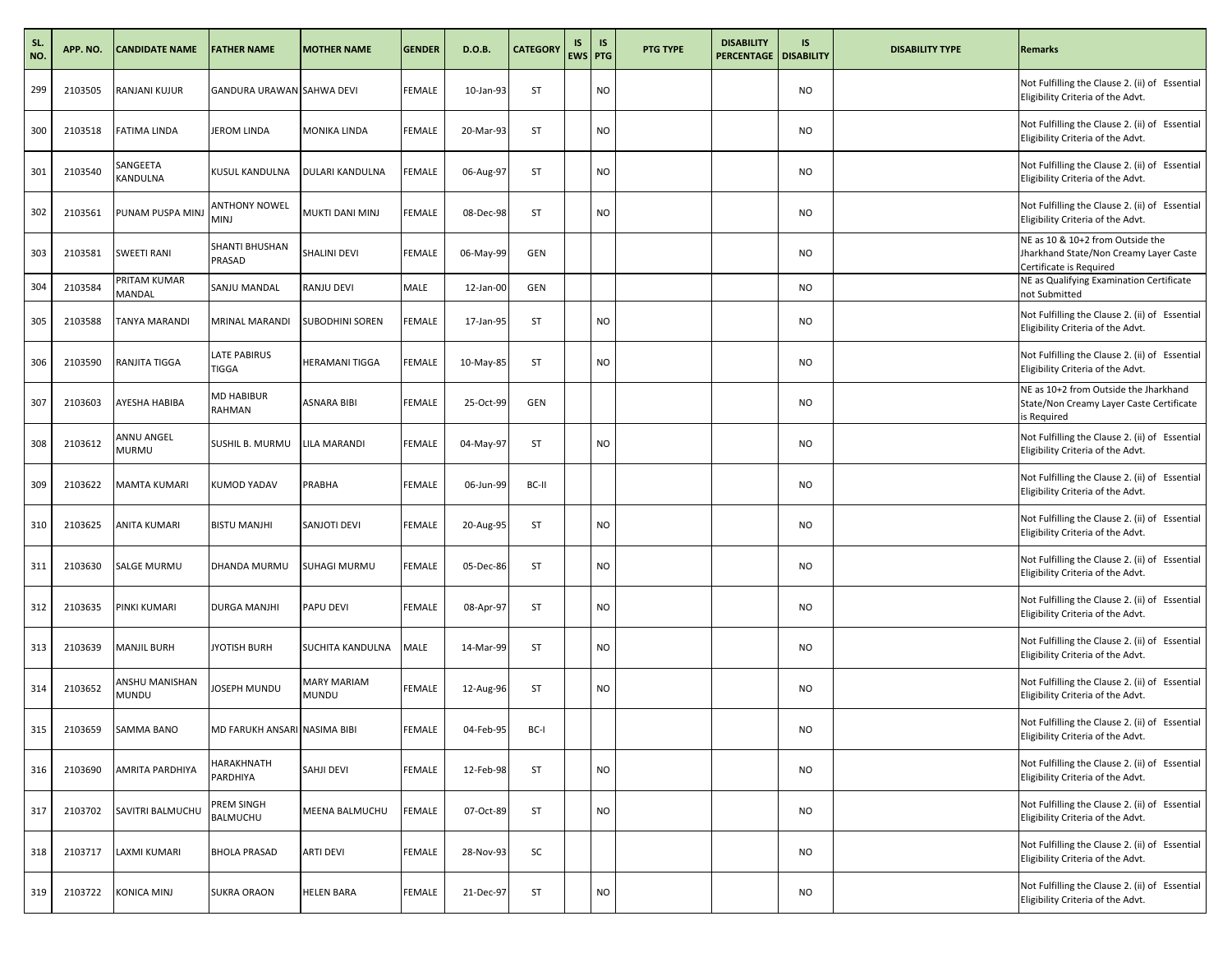| SL.<br>NO. | APP. NO. | <b>CANDIDATE NAME</b>      | <b>FATHER NAME</b>           | <b>MOTHER NAME</b>                 | <b>GENDER</b> | D.O.B.    | <b>CATEGORY</b> | IS<br>EWS PTG | IS        | PTG TYPE | <b>DISABILITY</b><br><b>PERCENTAGE</b> | IS.<br><b>DISABILITY</b> | <b>DISABILITY TYPE</b> | <b>Remarks</b>                                                                                        |
|------------|----------|----------------------------|------------------------------|------------------------------------|---------------|-----------|-----------------|---------------|-----------|----------|----------------------------------------|--------------------------|------------------------|-------------------------------------------------------------------------------------------------------|
| 299        | 2103505  | <b>RANJANI KUJUR</b>       | GANDURA URAWAN SAHWA DEVI    |                                    | <b>FEMALE</b> | 10-Jan-93 | ST              |               | NO        |          |                                        | <b>NO</b>                |                        | Not Fulfilling the Clause 2. (ii) of Essential<br>Eligibility Criteria of the Advt.                   |
| 300        | 2103518  | <b>FATIMA LINDA</b>        | JEROM LINDA                  | <b>MONIKA LINDA</b>                | <b>FEMALE</b> | 20-Mar-93 | ST              |               | <b>NO</b> |          |                                        | <b>NO</b>                |                        | Not Fulfilling the Clause 2. (ii) of Essential<br>Eligibility Criteria of the Advt.                   |
| 301        | 2103540  | SANGEETA<br>KANDULNA       | KUSUL KANDULNA               | DULARI KANDULNA                    | <b>FEMALE</b> | 06-Aug-97 | ST              |               | <b>NO</b> |          |                                        | <b>NO</b>                |                        | Not Fulfilling the Clause 2. (ii) of Essential<br>Eligibility Criteria of the Advt.                   |
| 302        | 2103561  | PUNAM PUSPA MINJ           | <b>ANTHONY NOWEL</b><br>MINJ | MUKTI DANI MINJ                    | FEMALE        | 08-Dec-98 | <b>ST</b>       |               | <b>NO</b> |          |                                        | <b>NO</b>                |                        | Not Fulfilling the Clause 2. (ii) of Essential<br>Eligibility Criteria of the Advt.                   |
| 303        | 2103581  | <b>SWEETI RANI</b>         | SHANTI BHUSHAN<br>PRASAD     | SHALINI DEVI                       | <b>FEMALE</b> | 06-May-99 | <b>GEN</b>      |               |           |          |                                        | <b>NO</b>                |                        | NE as 10 & 10+2 from Outside the<br>Jharkhand State/Non Creamy Layer Caste<br>Certificate is Required |
| 304        | 2103584  | PRITAM KUMAR<br>MANDAL     | SANJU MANDAL                 | <b>RANJU DEVI</b>                  | MALE          | 12-Jan-00 | <b>GEN</b>      |               |           |          |                                        | <b>NO</b>                |                        | NE as Qualifying Examination Certificate<br>not Submitted                                             |
| 305        | 2103588  | <b>TANYA MARANDI</b>       | MRINAL MARANDI               | <b>SUBODHINI SOREN</b>             | <b>FEMALE</b> | 17-Jan-95 | <b>ST</b>       |               | <b>NO</b> |          |                                        | <b>NO</b>                |                        | Not Fulfilling the Clause 2. (ii) of Essential<br>Eligibility Criteria of the Advt.                   |
| 306        | 2103590  | RANJITA TIGGA              | LATE PABIRUS<br>TIGGA        | HERAMANI TIGGA                     | FEMALE        | 10-May-85 | ST              |               | <b>NO</b> |          |                                        | <b>NO</b>                |                        | Not Fulfilling the Clause 2. (ii) of Essential<br>Eligibility Criteria of the Advt.                   |
| 307        | 2103603  | AYESHA HABIBA              | MD HABIBUR<br>RAHMAN         | ASNARA BIBI                        | <b>FEMALE</b> | 25-Oct-99 | <b>GEN</b>      |               |           |          |                                        | <b>NO</b>                |                        | NE as 10+2 from Outside the Jharkhand<br>State/Non Creamy Layer Caste Certificate<br>is Required      |
| 308        | 2103612  | ANNU ANGEL<br><b>MURMU</b> | SUSHIL B. MURMU              | LILA MARANDI                       | <b>FEMALE</b> | 04-May-97 | ST              |               | <b>NO</b> |          |                                        | <b>NO</b>                |                        | Not Fulfilling the Clause 2. (ii) of Essential<br>Eligibility Criteria of the Advt.                   |
| 309        | 2103622  | <b>MAMTA KUMARI</b>        | KUMOD YADAV                  | PRABHA                             | <b>FEMALE</b> | 06-Jun-99 | BC-II           |               |           |          |                                        | <b>NO</b>                |                        | Not Fulfilling the Clause 2. (ii) of Essential<br>Eligibility Criteria of the Advt.                   |
| 310        | 2103625  | <b>ANITA KUMARI</b>        | BISTU MANJHI                 | SANJOTI DEVI                       | <b>FEMALE</b> | 20-Aug-95 | <b>ST</b>       |               | <b>NO</b> |          |                                        | <b>NO</b>                |                        | Not Fulfilling the Clause 2. (ii) of Essential<br>Eligibility Criteria of the Advt.                   |
| 311        | 2103630  | <b>SALGE MURMU</b>         | DHANDA MURMU                 | <b>SUHAGI MURMU</b>                | <b>FEMALE</b> | 05-Dec-86 | ST              |               | <b>NO</b> |          |                                        | <b>NO</b>                |                        | Not Fulfilling the Clause 2. (ii) of Essential<br>Eligibility Criteria of the Advt.                   |
| 312        | 2103635  | PINKI KUMARI               | DURGA MANJHI                 | PAPU DEVI                          | <b>FEMALE</b> | 08-Apr-97 | ST              |               | <b>NO</b> |          |                                        | <b>NO</b>                |                        | Not Fulfilling the Clause 2. (ii) of Essential<br>Eligibility Criteria of the Advt.                   |
| 313        | 2103639  | <b>MANJIL BURH</b>         | <b>JYOTISH BURH</b>          | SUCHITA KANDULNA                   | MALE          | 14-Mar-99 | ST              |               | <b>NO</b> |          |                                        | <b>NO</b>                |                        | Not Fulfilling the Clause 2. (ii) of Essential<br>Eligibility Criteria of the Advt.                   |
| 314        | 2103652  | ANSHU MANISHAN<br>MUNDU    | JOSEPH MUNDU                 | <b>MARY MARIAM</b><br><b>MUNDU</b> | <b>FEMALE</b> | 12-Aug-96 | ST              |               | <b>NO</b> |          |                                        | <b>NO</b>                |                        | Not Fulfilling the Clause 2. (ii) of Essential<br>Eligibility Criteria of the Advt.                   |
| 315        | 2103659  | SAMMA BANO                 | MD FARUKH ANSARI NASIMA BIBI |                                    | FEMALE        | 04-Feb-95 | BC-I            |               |           |          |                                        | NO                       |                        | Not Fulfilling the Clause 2. (ii) of Essential<br>Eligibility Criteria of the Advt.                   |
| 316        | 2103690  | AMRITA PARDHIYA            | HARAKHNATH<br>PARDHIYA       | SAHJI DEVI                         | <b>FEMALE</b> | 12-Feb-98 | ST              |               | <b>NO</b> |          |                                        | <b>NO</b>                |                        | Not Fulfilling the Clause 2. (ii) of Essential<br>Eligibility Criteria of the Advt.                   |
| 317        | 2103702  | SAVITRI BALMUCHU           | PREM SINGH<br>BALMUCHU       | <b>MEENA BALMUCHU</b>              | <b>FEMALE</b> | 07-Oct-89 | ST              |               | <b>NO</b> |          |                                        | <b>NO</b>                |                        | Not Fulfilling the Clause 2. (ii) of Essential<br>Eligibility Criteria of the Advt.                   |
| 318        | 2103717  | LAXMI KUMARI               | BHOLA PRASAD                 | <b>ARTI DEVI</b>                   | FEMALE        | 28-Nov-93 | SC              |               |           |          |                                        | <b>NO</b>                |                        | Not Fulfilling the Clause 2. (ii) of Essential<br>Eligibility Criteria of the Advt.                   |
| 319        | 2103722  | <b>KONICA MINJ</b>         | <b>SUKRA ORAON</b>           | <b>HELEN BARA</b>                  | <b>FEMALE</b> | 21-Dec-97 | ST              |               | <b>NO</b> |          |                                        | <b>NO</b>                |                        | Not Fulfilling the Clause 2. (ii) of Essential<br>Eligibility Criteria of the Advt.                   |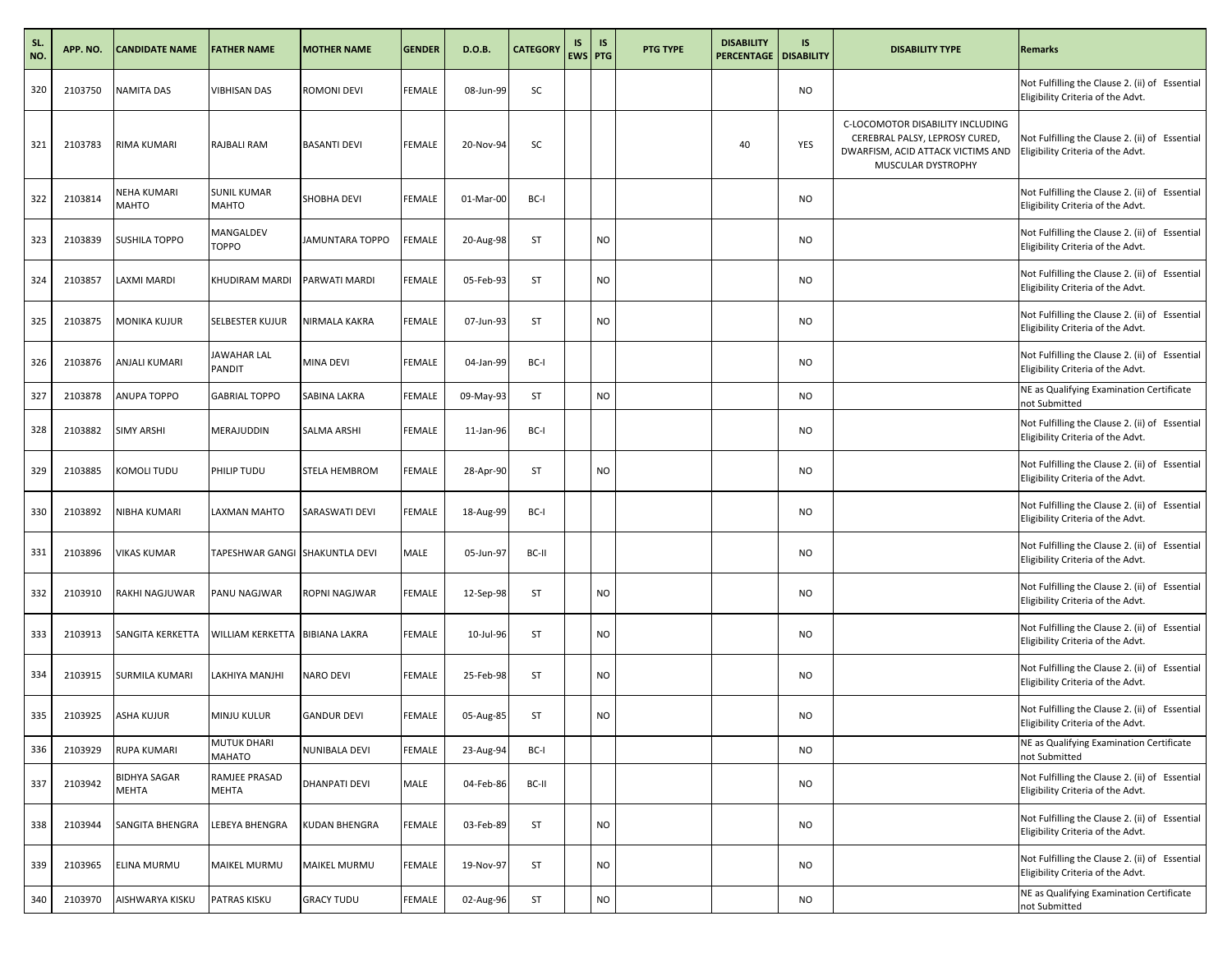| SL.<br>NO. | APP. NO. | <b>CANDIDATE NAME</b>        | <b>FATHER NAME</b>                 | <b>MOTHER NAME</b>   | <b>GENDER</b> | D.O.B.    | <b>CATEGORY</b> | IS | <b>IS</b><br><b>EWS PTG</b> | <b>PTG TYPE</b> | <b>DISABILITY</b><br><b>PERCENTAGE   DISABILITY</b> | IS        | <b>DISABILITY TYPE</b>                                                                                                        | <b>Remarks</b>                                                                      |
|------------|----------|------------------------------|------------------------------------|----------------------|---------------|-----------|-----------------|----|-----------------------------|-----------------|-----------------------------------------------------|-----------|-------------------------------------------------------------------------------------------------------------------------------|-------------------------------------------------------------------------------------|
| 320        | 2103750  | NAMITA DAS                   | VIBHISAN DAS                       | ROMONI DEVI          | FEMALE        | 08-Jun-99 | SC              |    |                             |                 |                                                     | <b>NO</b> |                                                                                                                               | Not Fulfilling the Clause 2. (ii) of Essential<br>Eligibility Criteria of the Advt. |
| 321        | 2103783  | RIMA KUMARI                  | RAJBALI RAM                        | <b>BASANTI DEVI</b>  | <b>FEMALE</b> | 20-Nov-94 | SC              |    |                             |                 | 40                                                  | YES       | C-LOCOMOTOR DISABILITY INCLUDING<br>CEREBRAL PALSY, LEPROSY CURED,<br>DWARFISM, ACID ATTACK VICTIMS AND<br>MUSCULAR DYSTROPHY | Not Fulfilling the Clause 2. (ii) of Essential<br>Eligibility Criteria of the Advt. |
| 322        | 2103814  | NEHA KUMARI<br>MAHTO         | <b>SUNIL KUMAR</b><br><b>MAHTO</b> | SHOBHA DEVI          | <b>FEMALE</b> | 01-Mar-00 | BC-I            |    |                             |                 |                                                     | <b>NO</b> |                                                                                                                               | Not Fulfilling the Clause 2. (ii) of Essential<br>Eligibility Criteria of the Advt. |
| 323        | 2103839  | SUSHILA TOPPO                | MANGALDEV<br><b>TOPPO</b>          | JAMUNTARA TOPPO      | <b>EMALE</b>  | 20-Aug-98 | ST              |    | NO.                         |                 |                                                     | <b>NO</b> |                                                                                                                               | Not Fulfilling the Clause 2. (ii) of Essential<br>Eligibility Criteria of the Advt. |
| 324        | 2103857  | LAXMI MARDI                  | KHUDIRAM MARDI                     | PARWATI MARDI        | FEMALE        | 05-Feb-93 | ST              |    | NO.                         |                 |                                                     | <b>NO</b> |                                                                                                                               | Not Fulfilling the Clause 2. (ii) of Essential<br>Eligibility Criteria of the Advt. |
| 325        | 2103875  | MONIKA KUJUR                 | SELBESTER KUJUR                    | NIRMALA KAKRA        | FEMALE        | 07-Jun-93 | ST              |    | NO.                         |                 |                                                     | <b>NO</b> |                                                                                                                               | Not Fulfilling the Clause 2. (ii) of Essential<br>Eligibility Criteria of the Advt. |
| 326        | 2103876  | ANJALI KUMARI                | JAWAHAR LAL<br>PANDIT              | MINA DEVI            | <b>FEMALE</b> | 04-Jan-99 | BC-I            |    |                             |                 |                                                     | <b>NO</b> |                                                                                                                               | Not Fulfilling the Clause 2. (ii) of Essential<br>Eligibility Criteria of the Advt. |
| 327        | 2103878  | ANUPA TOPPO                  | <b>GABRIAL TOPPO</b>               | SABINA LAKRA         | <b>FEMALE</b> | 09-May-93 | ST              |    | NO.                         |                 |                                                     | <b>NO</b> |                                                                                                                               | NE as Qualifying Examination Certificate<br>not Submitted                           |
| 328        | 2103882  | <b>SIMY ARSHI</b>            | <b>MERAJUDDIN</b>                  | SALMA ARSHI          | FEMALE        | 11-Jan-96 | BC-I            |    |                             |                 |                                                     | <b>NO</b> |                                                                                                                               | Not Fulfilling the Clause 2. (ii) of Essential<br>Eligibility Criteria of the Advt. |
| 329        | 2103885  | KOMOLI TUDU                  | PHILIP TUDU                        | STELA HEMBROM        | FEMALE        | 28-Apr-90 | <b>ST</b>       |    | NO.                         |                 |                                                     | <b>NO</b> |                                                                                                                               | Not Fulfilling the Clause 2. (ii) of Essential<br>Eligibility Criteria of the Advt. |
| 330        | 2103892  | NIBHA KUMARI                 | LAXMAN MAHTO                       | SARASWATI DEVI       | FEMALE        | 18-Aug-99 | BC-I            |    |                             |                 |                                                     | <b>NO</b> |                                                                                                                               | Not Fulfilling the Clause 2. (ii) of Essential<br>Eligibility Criteria of the Advt. |
| 331        | 2103896  | VIKAS KUMAR                  | TAPESHWAR GANGI SHAKUNTLA DEVI     |                      | MALE          | 05-Jun-97 | BC-II           |    |                             |                 |                                                     | <b>NO</b> |                                                                                                                               | Not Fulfilling the Clause 2. (ii) of Essential<br>Eligibility Criteria of the Advt. |
| 332        | 2103910  | RAKHI NAGJUWAR               | PANU NAGJWAR                       | ROPNI NAGJWAR        | FEMALE        | 12-Sep-98 | ST              |    | NO                          |                 |                                                     | <b>NO</b> |                                                                                                                               | Not Fulfilling the Clause 2. (ii) of Essential<br>Eligibility Criteria of the Advt. |
| 333        | 2103913  | SANGITA KERKETTA             | WILLIAM KERKETTA BIBIANA LAKRA     |                      | FEMALE        | 10-Jul-96 | <b>ST</b>       |    | NO.                         |                 |                                                     | <b>NO</b> |                                                                                                                               | Not Fulfilling the Clause 2. (ii) of Essential<br>Eligibility Criteria of the Advt. |
| 334        | 2103915  | SURMILA KUMARI               | LAKHIYA MANJHI                     | <b>NARO DEVI</b>     | FEMALE        | 25-Feb-98 | ST              |    | NO                          |                 |                                                     | <b>NO</b> |                                                                                                                               | Not Fulfilling the Clause 2. (ii) of Essential<br>Eligibility Criteria of the Advt. |
| 335        | 2103925  | ASHA KUJUR                   | MINJU KULUR                        | <b>GANDUR DEVI</b>   | FEMALE        | 05-Aug-85 | <b>ST</b>       |    | NO                          |                 |                                                     | <b>NO</b> |                                                                                                                               | Not Fulfilling the Clause 2. (ii) of Essential<br>Eligibility Criteria of the Advt. |
| 336        | 2103929  | RUPA KUMARI                  | MUTUK DHARI<br>MAHATO              | NUNIBALA DEVI        | <b>FEMALE</b> | 23-Aug-94 | BC-I            |    |                             |                 |                                                     | <b>NO</b> |                                                                                                                               | NE as Qualifying Examination Certificate<br>not Submitted                           |
| 337        | 2103942  | <b>BIDHYA SAGAR</b><br>MEHTA | RAMJEE PRASAD<br>MEHTA             | <b>DHANPATI DEVI</b> | MALE          | 04-Feb-86 | BC-II           |    |                             |                 |                                                     | <b>NO</b> |                                                                                                                               | Not Fulfilling the Clause 2. (ii) of Essential<br>Eligibility Criteria of the Advt. |
| 338        | 2103944  | SANGITA BHENGRA              | LEBEYA BHENGRA                     | KUDAN BHENGRA        | FEMALE        | 03-Feb-89 | ST              |    | NO                          |                 |                                                     | <b>NO</b> |                                                                                                                               | Not Fulfilling the Clause 2. (ii) of Essential<br>Eligibility Criteria of the Advt. |
| 339        | 2103965  | ELINA MURMU                  | MAIKEL MURMU                       | MAIKEL MURMU         | FEMALE        | 19-Nov-97 | ST              |    | NO.                         |                 |                                                     | <b>NO</b> |                                                                                                                               | Not Fulfilling the Clause 2. (ii) of Essential<br>Eligibility Criteria of the Advt. |
| 340        | 2103970  | AISHWARYA KISKU              | PATRAS KISKU                       | <b>GRACY TUDU</b>    | FEMALE        | 02-Aug-96 | ST              |    | NO                          |                 |                                                     | <b>NO</b> |                                                                                                                               | NE as Qualifying Examination Certificate<br>not Submitted                           |